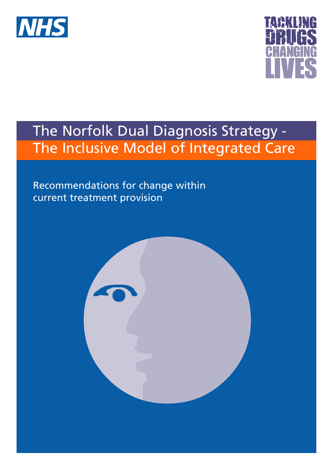



# The Norfolk Dual Diagnosis Strategy - The Inclusive Model of Integrated Care

Recommendations for change within current treatment provision

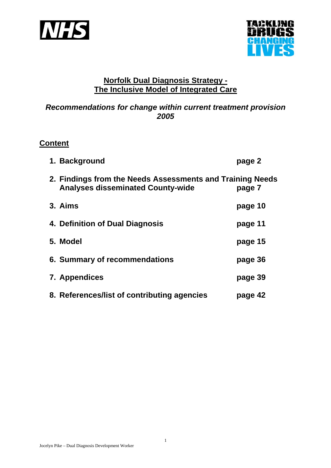



# **Norfolk Dual Diagnosis Strategy - The Inclusive Model of Integrated Care**

# *Recommendations for change within current treatment provision 2005*

# **Content**

| 1. Background                                                                                         | page 2  |
|-------------------------------------------------------------------------------------------------------|---------|
| 2. Findings from the Needs Assessments and Training Needs<br><b>Analyses disseminated County-wide</b> | page 7  |
| 3. Aims                                                                                               | page 10 |
| 4. Definition of Dual Diagnosis                                                                       | page 11 |
| 5. Model                                                                                              | page 15 |
| 6. Summary of recommendations                                                                         | page 36 |
| 7. Appendices                                                                                         | page 39 |
| 8. References/list of contributing agencies                                                           | page 42 |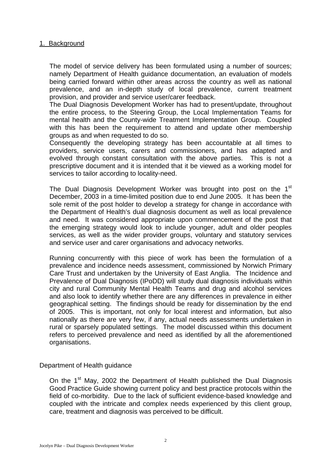## 1. Background

The model of service delivery has been formulated using a number of sources; namely Department of Health guidance documentation, an evaluation of models being carried forward within other areas across the country as well as national prevalence, and an in-depth study of local prevalence, current treatment provision, and provider and service user/carer feedback.

The Dual Diagnosis Development Worker has had to present/update, throughout the entire process, to the Steering Group, the Local Implementation Teams for mental health and the County-wide Treatment Implementation Group. Coupled with this has been the requirement to attend and update other membership groups as and when requested to do so.

Consequently the developing strategy has been accountable at all times to providers, service users, carers and commissioners, and has adapted and evolved through constant consultation with the above parties. This is not a prescriptive document and it is intended that it be viewed as a working model for services to tailor according to locality-need.

The Dual Diagnosis Development Worker was brought into post on the 1<sup>st</sup> December, 2003 in a time-limited position due to end June 2005. It has been the sole remit of the post holder to develop a strategy for change in accordance with the Department of Health's dual diagnosis document as well as local prevalence and need. It was considered appropriate upon commencement of the post that the emerging strategy would look to include younger, adult and older peoples services, as well as the wider provider groups, voluntary and statutory services and service user and carer organisations and advocacy networks.

Running concurrently with this piece of work has been the formulation of a prevalence and incidence needs assessment, commissioned by Norwich Primary Care Trust and undertaken by the University of East Anglia. The Incidence and Prevalence of Dual Diagnosis (IPoDD) will study dual diagnosis individuals within city and rural Community Mental Health Teams and drug and alcohol services and also look to identify whether there are any differences in prevalence in either geographical setting. The findings should be ready for dissemination by the end of 2005. This is important, not only for local interest and information, but also nationally as there are very few, if any, actual needs assessments undertaken in rural or sparsely populated settings. The model discussed within this document refers to perceived prevalence and need as identified by all the aforementioned organisations.

Department of Health guidance

On the 1<sup>st</sup> May, 2002 the Department of Health published the Dual Diagnosis Good Practice Guide showing current policy and best practice protocols within the field of co-morbidity. Due to the lack of sufficient evidence-based knowledge and coupled with the intricate and complex needs experienced by this client group, care, treatment and diagnosis was perceived to be difficult.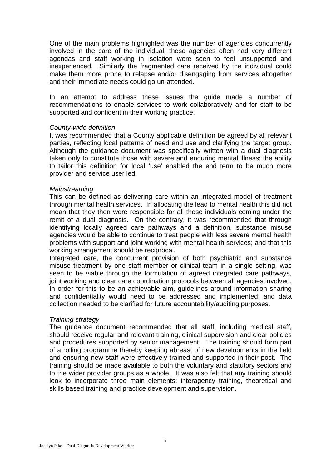One of the main problems highlighted was the number of agencies concurrently involved in the care of the individual; these agencies often had very different agendas and staff working in isolation were seen to feel unsupported and inexperienced. Similarly the fragmented care received by the individual could make them more prone to relapse and/or disengaging from services altogether and their immediate needs could go un-attended.

In an attempt to address these issues the guide made a number of recommendations to enable services to work collaboratively and for staff to be supported and confident in their working practice.

#### *County-wide definition*

It was recommended that a County applicable definition be agreed by all relevant parties, reflecting local patterns of need and use and clarifying the target group. Although the guidance document was specifically written with a dual diagnosis taken only to constitute those with severe and enduring mental illness; the ability to tailor this definition for local 'use' enabled the end term to be much more provider and service user led.

#### *Mainstreaming*

This can be defined as delivering care within an integrated model of treatment through mental health services. In allocating the lead to mental health this did not mean that they then were responsible for all those individuals coming under the remit of a dual diagnosis. On the contrary, it was recommended that through identifying locally agreed care pathways and a definition, substance misuse agencies would be able to continue to treat people with less severe mental health problems with support and joint working with mental health services; and that this working arrangement should be reciprocal.

Integrated care, the concurrent provision of both psychiatric and substance misuse treatment by one staff member or clinical team in a single setting, was seen to be viable through the formulation of agreed integrated care pathways, joint working and clear care coordination protocols between all agencies involved. In order for this to be an achievable aim, guidelines around information sharing and confidentiality would need to be addressed and implemented; and data collection needed to be clarified for future accountability/auditing purposes.

#### *Training strategy*

The guidance document recommended that all staff, including medical staff, should receive regular and relevant training, clinical supervision and clear policies and procedures supported by senior management. The training should form part of a rolling programme thereby keeping abreast of new developments in the field and ensuring new staff were effectively trained and supported in their post. The training should be made available to both the voluntary and statutory sectors and to the wider provider groups as a whole. It was also felt that any training should look to incorporate three main elements: interagency training, theoretical and skills based training and practice development and supervision.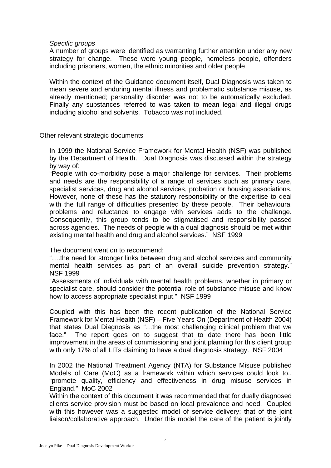## *Specific groups*

A number of groups were identified as warranting further attention under any new strategy for change. These were young people, homeless people, offenders including prisoners, women, the ethnic minorities and older people

Within the context of the Guidance document itself, Dual Diagnosis was taken to mean severe and enduring mental illness and problematic substance misuse, as already mentioned; personality disorder was not to be automatically excluded. Finally any substances referred to was taken to mean legal and illegal drugs including alcohol and solvents. Tobacco was not included.

### Other relevant strategic documents

In 1999 the National Service Framework for Mental Health (NSF) was published by the Department of Health. Dual Diagnosis was discussed within the strategy by way of:

"People with co-morbidity pose a major challenge for services. Their problems and needs are the responsibility of a range of services such as primary care, specialist services, drug and alcohol services, probation or housing associations. However, none of these has the statutory responsibility or the expertise to deal with the full range of difficulties presented by these people. Their behavioural problems and reluctance to engage with services adds to the challenge. Consequently, this group tends to be stigmatised and responsibility passed across agencies. The needs of people with a dual diagnosis should be met within existing mental health and drug and alcohol services." NSF 1999

The document went on to recommend:

"….the need for stronger links between drug and alcohol services and community mental health services as part of an overall suicide prevention strategy." NSF 1999

"Assessments of individuals with mental health problems, whether in primary or specialist care, should consider the potential role of substance misuse and know how to access appropriate specialist input." NSF 1999

Coupled with this has been the recent publication of the National Service Framework for Mental Health (NSF) – Five Years On (Department of Health 2004) that states Dual Diagnosis as "…the most challenging clinical problem that we face." The report goes on to suggest that to date there has been little improvement in the areas of commissioning and joint planning for this client group with only 17% of all LITs claiming to have a dual diagnosis strategy. NSF 2004

In 2002 the National Treatment Agency (NTA) for Substance Misuse published Models of Care (MoC) as a framework within which services could look to.. "promote quality, efficiency and effectiveness in drug misuse services in England." MoC 2002

Within the context of this document it was recommended that for dually diagnosed clients service provision must be based on local prevalence and need. Coupled with this however was a suggested model of service delivery; that of the joint liaison/collaborative approach. Under this model the care of the patient is jointly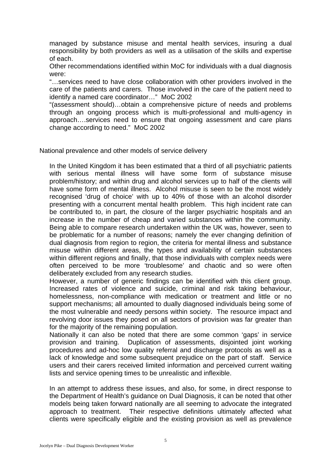managed by substance misuse and mental health services, insuring a dual responsibility by both providers as well as a utilisation of the skills and expertise of each.

Other recommendations identified within MoC for individuals with a dual diagnosis were:

"…services need to have close collaboration with other providers involved in the care of the patients and carers. Those involved in the care of the patient need to identify a named care coordinator…" MoC 2002

"(assessment should)…obtain a comprehensive picture of needs and problems through an ongoing process which is multi-professional and multi-agency in approach….services need to ensure that ongoing assessment and care plans change according to need." MoC 2002

National prevalence and other models of service delivery

In the United Kingdom it has been estimated that a third of all psychiatric patients with serious mental illness will have some form of substance misuse problem/history; and within drug and alcohol services up to half of the clients will have some form of mental illness. Alcohol misuse is seen to be the most widely recognised 'drug of choice' with up to 40% of those with an alcohol disorder presenting with a concurrent mental health problem. This high incident rate can be contributed to, in part, the closure of the larger psychiatric hospitals and an increase in the number of cheap and varied substances within the community. Being able to compare research undertaken within the UK was, however, seen to be problematic for a number of reasons; namely the ever changing definition of dual diagnosis from region to region, the criteria for mental illness and substance misuse within different areas, the types and availability of certain substances within different regions and finally, that those individuals with complex needs were often perceived to be more 'troublesome' and chaotic and so were often deliberately excluded from any research studies.

However, a number of generic findings can be identified with this client group. Increased rates of violence and suicide, criminal and risk taking behaviour, homelessness, non-compliance with medication or treatment and little or no support mechanisms; all amounted to dually diagnosed individuals being some of the most vulnerable and needy persons within society. The resource impact and revolving door issues they posed on all sectors of provision was far greater than for the majority of the remaining population.

Nationally it can also be noted that there are some common 'gaps' in service provision and training. Duplication of assessments, disjointed joint working procedures and ad-hoc low quality referral and discharge protocols as well as a lack of knowledge and some subsequent prejudice on the part of staff. Service users and their carers received limited information and perceived current waiting lists and service opening times to be unrealistic and inflexible.

In an attempt to address these issues, and also, for some, in direct response to the Department of Health's guidance on Dual Diagnosis, it can be noted that other models being taken forward nationally are all seeming to advocate the integrated approach to treatment. Their respective definitions ultimately affected what clients were specifically eligible and the existing provision as well as prevalence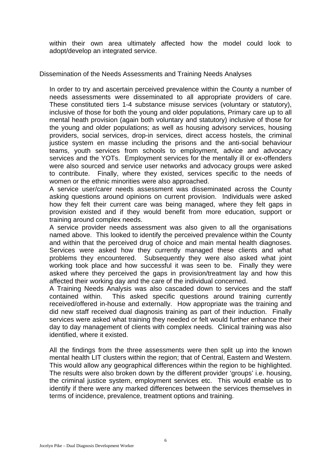within their own area ultimately affected how the model could look to adopt/develop an integrated service.

Dissemination of the Needs Assessments and Training Needs Analyses

In order to try and ascertain perceived prevalence within the County a number of needs assessments were disseminated to all appropriate providers of care. These constituted tiers 1-4 substance misuse services (voluntary or statutory), inclusive of those for both the young and older populations, Primary care up to all mental heath provision (again both voluntary and statutory) inclusive of those for the young and older populations; as well as housing advisory services, housing providers, social services, drop-in services, direct access hostels, the criminal justice system en masse including the prisons and the anti-social behaviour teams, youth services from schools to employment, advice and advocacy services and the YOTs. Employment services for the mentally ill or ex-offenders were also sourced and service user networks and advocacy groups were asked to contribute. Finally, where they existed, services specific to the needs of women or the ethnic minorities were also approached.

A service user/carer needs assessment was disseminated across the County asking questions around opinions on current provision. Individuals were asked how they felt their current care was being managed, where they felt gaps in provision existed and if they would benefit from more education, support or training around complex needs.

A service provider needs assessment was also given to all the organisations named above. This looked to identify the perceived prevalence within the County and within that the perceived drug of choice and main mental health diagnoses. Services were asked how they currently managed these clients and what problems they encountered. Subsequently they were also asked what joint working took place and how successful it was seen to be. Finally they were asked where they perceived the gaps in provision/treatment lay and how this affected their working day and the care of the individual concerned.

A Training Needs Analysis was also cascaded down to services and the staff contained within. This asked specific questions around training currently received/offered in-house and externally. How appropriate was the training and did new staff received dual diagnosis training as part of their induction. Finally services were asked what training they needed or felt would further enhance their day to day management of clients with complex needs. Clinical training was also identified, where it existed.

All the findings from the three assessments were then split up into the known mental health LIT clusters within the region; that of Central, Eastern and Western. This would allow any geographical differences within the region to be highlighted. The results were also broken down by the different provider 'groups' i.e. housing, the criminal justice system, employment services etc. This would enable us to identify if there were any marked differences between the services themselves in terms of incidence, prevalence, treatment options and training.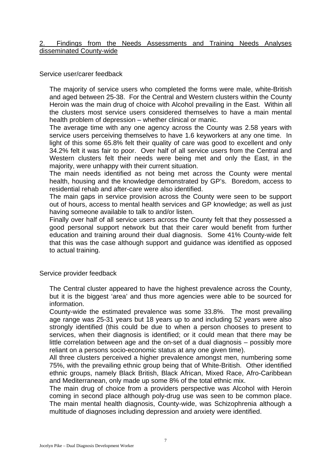### 2. Findings from the Needs Assessments and Training Needs Analyses disseminated County-wide

Service user/carer feedback

The majority of service users who completed the forms were male, white-British and aged between 25-38. For the Central and Western clusters within the County Heroin was the main drug of choice with Alcohol prevailing in the East. Within all the clusters most service users considered themselves to have a main mental health problem of depression – whether clinical or manic.

The average time with any one agency across the County was 2.58 years with service users perceiving themselves to have 1.6 keyworkers at any one time. In light of this some 65.8% felt their quality of care was good to excellent and only 34.2% felt it was fair to poor. Over half of all service users from the Central and Western clusters felt their needs were being met and only the East, in the majority, were unhappy with their current situation.

The main needs identified as not being met across the County were mental health, housing and the knowledge demonstrated by GP's. Boredom, access to residential rehab and after-care were also identified.

The main gaps in service provision across the County were seen to be support out of hours, access to mental health services and GP knowledge; as well as just having someone available to talk to and/or listen.

Finally over half of all service users across the County felt that they possessed a good personal support network but that their carer would benefit from further education and training around their dual diagnosis. Some 41% County-wide felt that this was the case although support and guidance was identified as opposed to actual training.

Service provider feedback

The Central cluster appeared to have the highest prevalence across the County, but it is the biggest 'area' and thus more agencies were able to be sourced for information.

County-wide the estimated prevalence was some 33.8%. The most prevailing age range was 25-31 years but 18 years up to and including 52 years were also strongly identified (this could be due to when a person chooses to present to services, when their diagnosis is identified; or it could mean that there may be little correlation between age and the on-set of a dual diagnosis – possibly more reliant on a persons socio-economic status at any one given time).

All three clusters perceived a higher prevalence amongst men, numbering some 75%, with the prevailing ethnic group being that of White-British. Other identified ethnic groups, namely Black British, Black African, Mixed Race, Afro-Caribbean and Mediterranean, only made up some 8% of the total ethnic mix.

The main drug of choice from a providers perspective was Alcohol with Heroin coming in second place although poly-drug use was seen to be common place. The main mental health diagnosis, County-wide, was Schizophrenia although a multitude of diagnoses including depression and anxiety were identified.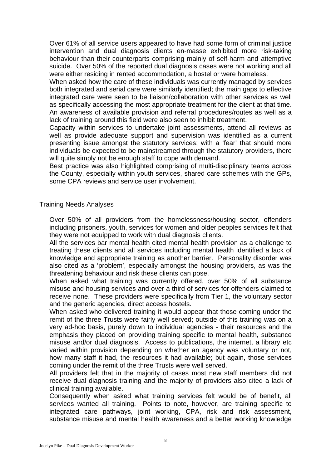Over 61% of all service users appeared to have had some form of criminal justice intervention and dual diagnosis clients en-masse exhibited more risk-taking behaviour than their counterparts comprising mainly of self-harm and attemptive suicide. Over 50% of the reported dual diagnosis cases were not working and all were either residing in rented accommodation, a hostel or were homeless.

When asked how the care of these individuals was currently managed by services both integrated and serial care were similarly identified; the main gaps to effective integrated care were seen to be liaison/collaboration with other services as well as specifically accessing the most appropriate treatment for the client at that time. An awareness of available provision and referral procedures/routes as well as a lack of training around this field were also seen to inhibit treatment.

Capacity within services to undertake joint assessments, attend all reviews as well as provide adequate support and supervision was identified as a current presenting issue amongst the statutory services; with a 'fear' that should more individuals be expected to be mainstreamed through the statutory providers, there will quite simply not be enough staff to cope with demand.

Best practice was also highlighted comprising of multi-disciplinary teams across the County, especially within youth services, shared care schemes with the GPs, some CPA reviews and service user involvement.

Training Needs Analyses

Over 50% of all providers from the homelessness/housing sector, offenders including prisoners, youth, services for women and older peoples services felt that they were not equipped to work with dual diagnosis clients.

All the services bar mental health cited mental health provision as a challenge to treating these clients and all services including mental health identified a lack of knowledge and appropriate training as another barrier. Personality disorder was also cited as a 'problem', especially amongst the housing providers, as was the threatening behaviour and risk these clients can pose.

When asked what training was currently offered, over 50% of all substance misuse and housing services and over a third of services for offenders claimed to receive none. These providers were specifically from Tier 1, the voluntary sector and the generic agencies, direct access hostels.

When asked who delivered training it would appear that those coming under the remit of the three Trusts were fairly well served; outside of this training was on a very ad-hoc basis, purely down to individual agencies - their resources and the emphasis they placed on providing training specific to mental health, substance misuse and/or dual diagnosis. Access to publications, the internet, a library etc varied within provision depending on whether an agency was voluntary or not, how many staff it had, the resources it had available; but again, those services coming under the remit of the three Trusts were well served.

All providers felt that in the majority of cases most new staff members did not receive dual diagnosis training and the majority of providers also cited a lack of clinical training available.

Consequently when asked what training services felt would be of benefit, all services wanted all training. Points to note, however, are training specific to integrated care pathways, joint working, CPA, risk and risk assessment, substance misuse and mental health awareness and a better working knowledge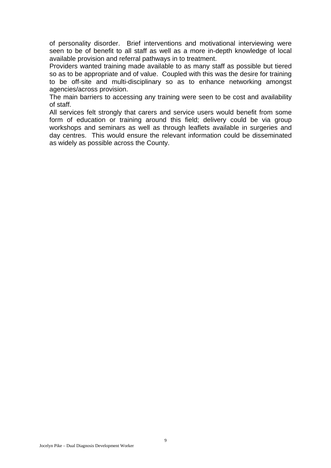of personality disorder. Brief interventions and motivational interviewing were seen to be of benefit to all staff as well as a more in-depth knowledge of local available provision and referral pathways in to treatment.

Providers wanted training made available to as many staff as possible but tiered so as to be appropriate and of value. Coupled with this was the desire for training to be off-site and multi-disciplinary so as to enhance networking amongst agencies/across provision.

The main barriers to accessing any training were seen to be cost and availability of staff.

All services felt strongly that carers and service users would benefit from some form of education or training around this field; delivery could be via group workshops and seminars as well as through leaflets available in surgeries and day centres. This would ensure the relevant information could be disseminated as widely as possible across the County.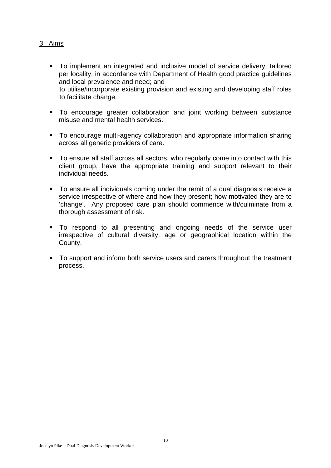# 3. Aims

- To implement an integrated and inclusive model of service delivery, tailored per locality, in accordance with Department of Health good practice guidelines and local prevalence and need; and to utilise/incorporate existing provision and existing and developing staff roles to facilitate change.
- To encourage greater collaboration and joint working between substance misuse and mental health services.
- To encourage multi-agency collaboration and appropriate information sharing across all generic providers of care.
- To ensure all staff across all sectors, who regularly come into contact with this client group, have the appropriate training and support relevant to their individual needs.
- To ensure all individuals coming under the remit of a dual diagnosis receive a service irrespective of where and how they present; how motivated they are to 'change'. Any proposed care plan should commence with/culminate from a thorough assessment of risk.
- To respond to all presenting and ongoing needs of the service user irrespective of cultural diversity, age or geographical location within the County.
- To support and inform both service users and carers throughout the treatment process.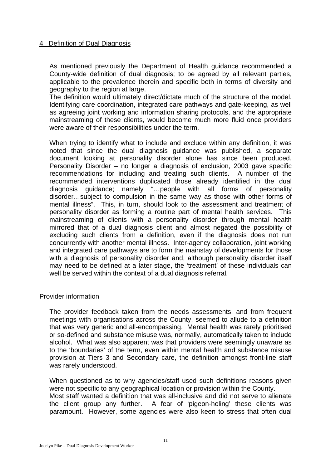# 4. Definition of Dual Diagnosis

As mentioned previously the Department of Health guidance recommended a County-wide definition of dual diagnosis; to be agreed by all relevant parties, applicable to the prevalence therein and specific both in terms of diversity and geography to the region at large.

The definition would ultimately direct/dictate much of the structure of the model. Identifying care coordination, integrated care pathways and gate-keeping, as well as agreeing joint working and information sharing protocols, and the appropriate mainstreaming of these clients, would become much more fluid once providers were aware of their responsibilities under the term.

When trying to identify what to include and exclude within any definition, it was noted that since the dual diagnosis guidance was published, a separate document looking at personality disorder alone has since been produced. Personality Disorder – no longer a diagnosis of exclusion, 2003 gave specific recommendations for including and treating such clients. A number of the recommended interventions duplicated those already identified in the dual diagnosis guidance; namely "…people with all forms of personality disorder…subject to compulsion in the same way as those with other forms of mental illness". This, in turn, should look to the assessment and treatment of personality disorder as forming a routine part of mental health services. This mainstreaming of clients with a personality disorder through mental health mirrored that of a dual diagnosis client and almost negated the possibility of excluding such clients from a definition, even if the diagnosis does not run concurrently with another mental illness. Inter-agency collaboration, joint working and integrated care pathways are to form the mainstay of developments for those with a diagnosis of personality disorder and, although personality disorder itself may need to be defined at a later stage, the 'treatment' of these individuals can well be served within the context of a dual diagnosis referral.

#### Provider information

The provider feedback taken from the needs assessments, and from frequent meetings with organisations across the County, seemed to allude to a definition that was very generic and all-encompassing. Mental health was rarely prioritised or so-defined and substance misuse was, normally, automatically taken to include alcohol. What was also apparent was that providers were seemingly unaware as to the 'boundaries' of the term, even within mental health and substance misuse provision at Tiers 3 and Secondary care, the definition amongst front-line staff was rarely understood.

When questioned as to why agencies/staff used such definitions reasons given were not specific to any geographical location or provision within the County. Most staff wanted a definition that was all-inclusive and did not serve to alienate the client group any further. A fear of 'pigeon-holing' these clients was paramount. However, some agencies were also keen to stress that often dual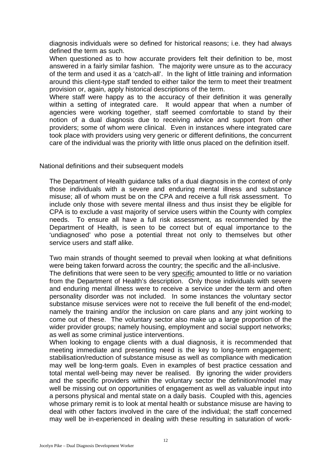diagnosis individuals were so defined for historical reasons; i.e. they had always defined the term as such.

When questioned as to how accurate providers felt their definition to be, most answered in a fairly similar fashion. The majority were unsure as to the accuracy of the term and used it as a 'catch-all'. In the light of little training and information around this client-type staff tended to either tailor the term to meet their treatment provision or, again, apply historical descriptions of the term.

Where staff were happy as to the accuracy of their definition it was generally within a setting of integrated care. It would appear that when a number of agencies were working together, staff seemed comfortable to stand by their notion of a dual diagnosis due to receiving advice and support from other providers; some of whom were clinical. Even in instances where integrated care took place with providers using very generic or different definitions, the concurrent care of the individual was the priority with little onus placed on the definition itself.

National definitions and their subsequent models

The Department of Health guidance talks of a dual diagnosis in the context of only those individuals with a severe and enduring mental illness and substance misuse; all of whom must be on the CPA and receive a full risk assessment. To include only those with severe mental illness and thus insist they be eligible for CPA is to exclude a vast majority of service users within the County with complex needs. To ensure all have a full risk assessment, as recommended by the Department of Health, is seen to be correct but of equal importance to the 'undiagnosed' who pose a potential threat not only to themselves but other service users and staff alike.

Two main strands of thought seemed to prevail when looking at what definitions were being taken forward across the country; the specific and the all-inclusive. The definitions that were seen to be very specific amounted to little or no variation from the Department of Health's description. Only those individuals with severe and enduring mental illness were to receive a service under the term and often personality disorder was not included. In some instances the voluntary sector substance misuse services were not to receive the full benefit of the end-model; namely the training and/or the inclusion on care plans and any joint working to come out of these. The voluntary sector also make up a large proportion of the wider provider groups; namely housing, employment and social support networks; as well as some criminal justice interventions.

When looking to engage clients with a dual diagnosis, it is recommended that meeting immediate and presenting need is the key to long-term engagement; stabilisation/reduction of substance misuse as well as compliance with medication may well be long-term goals. Even in examples of best practice cessation and total mental well-being may never be realised. By ignoring the wider providers and the specific providers within the voluntary sector the definition/model may well be missing out on opportunities of engagement as well as valuable input into a persons physical and mental state on a daily basis. Coupled with this, agencies whose primary remit is to look at mental health or substance misuse are having to deal with other factors involved in the care of the individual; the staff concerned may well be in-experienced in dealing with these resulting in saturation of work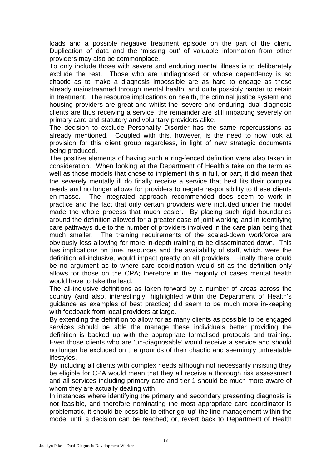loads and a possible negative treatment episode on the part of the client. Duplication of data and the 'missing out' of valuable information from other providers may also be commonplace.

To only include those with severe and enduring mental illness is to deliberately exclude the rest. Those who are undiagnosed or whose dependency is so chaotic as to make a diagnosis impossible are as hard to engage as those already mainstreamed through mental health, and quite possibly harder to retain in treatment. The resource implications on health, the criminal justice system and housing providers are great and whilst the 'severe and enduring' dual diagnosis clients are thus receiving a service, the remainder are still impacting severely on primary care and statutory and voluntary providers alike.

The decision to exclude Personality Disorder has the same repercussions as already mentioned. Coupled with this, however, is the need to now look at provision for this client group regardless, in light of new strategic documents being produced.

The positive elements of having such a ring-fenced definition were also taken in consideration. When looking at the Department of Health's take on the term as well as those models that chose to implement this in full, or part, it did mean that the severely mentally ill do finally receive a service that best fits their complex needs and no longer allows for providers to negate responsibility to these clients en-masse. The integrated approach recommended does seem to work in practice and the fact that only certain providers were included under the model made the whole process that much easier. By placing such rigid boundaries around the definition allowed for a greater ease of joint working and in identifying care pathways due to the number of providers involved in the care plan being that much smaller. The training requirements of the scaled-down workforce are obviously less allowing for more in-depth training to be disseminated down. This has implications on time, resources and the availability of staff, which, were the definition all-inclusive, would impact greatly on all providers. Finally there could be no argument as to where care coordination would sit as the definition only allows for those on the CPA; therefore in the majority of cases mental health would have to take the lead.

The all-inclusive definitions as taken forward by a number of areas across the country (and also, interestingly, highlighted within the Department of Health's guidance as examples of best practice) did seem to be much more in-keeping with feedback from local providers at large.

By extending the definition to allow for as many clients as possible to be engaged services should be able the manage these individuals better providing the definition is backed up with the appropriate formalised protocols and training. Even those clients who are 'un-diagnosable' would receive a service and should no longer be excluded on the grounds of their chaotic and seemingly untreatable lifestyles.

By including all clients with complex needs although not necessarily insisting they be eligible for CPA would mean that they all receive a thorough risk assessment and all services including primary care and tier 1 should be much more aware of whom they are actually dealing with.

In instances where identifying the primary and secondary presenting diagnosis is not feasible, and therefore nominating the most appropriate care coordinator is problematic, it should be possible to either go 'up' the line management within the model until a decision can be reached; or, revert back to Department of Health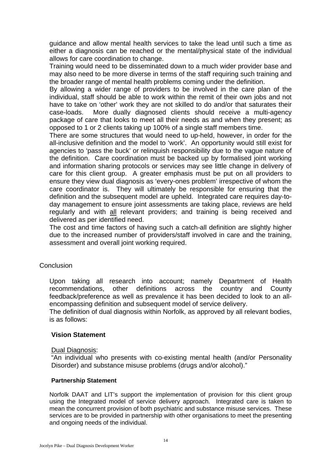guidance and allow mental health services to take the lead until such a time as either a diagnosis can be reached or the mental/physical state of the individual allows for care coordination to change.

Training would need to be disseminated down to a much wider provider base and may also need to be more diverse in terms of the staff requiring such training and the broader range of mental health problems coming under the definition.

By allowing a wider range of providers to be involved in the care plan of the individual, staff should be able to work within the remit of their own jobs and not have to take on 'other' work they are not skilled to do and/or that saturates their case-loads. More dually diagnosed clients should receive a multi-agency package of care that looks to meet all their needs as and when they present; as opposed to 1 or 2 clients taking up 100% of a single staff members time.

There are some structures that would need to up-held, however, in order for the all-inclusive definition and the model to 'work'. An opportunity would still exist for agencies to 'pass the buck' or relinquish responsibility due to the vague nature of the definition. Care coordination must be backed up by formalised joint working and information sharing protocols or services may see little change in delivery of care for this client group. A greater emphasis must be put on all providers to ensure they view dual diagnosis as 'every-ones problem' irrespective of whom the care coordinator is. They will ultimately be responsible for ensuring that the definition and the subsequent model are upheld. Integrated care requires day-today management to ensure joint assessments are taking place, reviews are held regularly and with all relevant providers; and training is being received and delivered as per identified need.

The cost and time factors of having such a catch-all definition are slightly higher due to the increased number of providers/staff involved in care and the training, assessment and overall joint working required.

#### **Conclusion**

Upon taking all research into account; namely Department of Health recommendations, other definitions across the country and County feedback/preference as well as prevalence it has been decided to look to an allencompassing definition and subsequent model of service delivery.

The definition of dual diagnosis within Norfolk, as approved by all relevant bodies, is as follows:

#### **Vision Statement**

#### Dual Diagnosis:

"An individual who presents with co-existing mental health (and/or Personality Disorder) and substance misuse problems (drugs and/or alcohol)."

#### **Partnership Statement**

Norfolk DAAT and LIT's support the implementation of provision for this client group using the Integrated model of service delivery approach. Integrated care is taken to mean the concurrent provision of both psychiatric and substance misuse services. These services are to be provided in partnership with other organisations to meet the presenting and ongoing needs of the individual.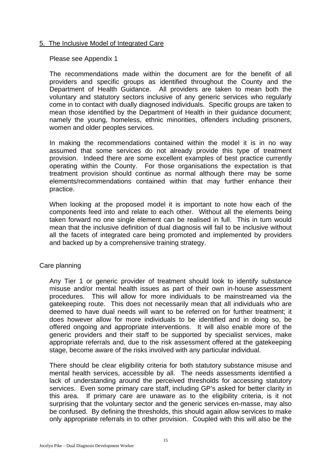# 5. The Inclusive Model of Integrated Care

Please see Appendix 1

The recommendations made within the document are for the benefit of all providers and specific groups as identified throughout the County and the Department of Health Guidance. All providers are taken to mean both the voluntary and statutory sectors inclusive of any generic services who regularly come in to contact with dually diagnosed individuals. Specific groups are taken to mean those identified by the Department of Health in their guidance document; namely the young, homeless, ethnic minorities, offenders including prisoners, women and older peoples services.

In making the recommendations contained within the model it is in no way assumed that some services do not already provide this type of treatment provision. Indeed there are some excellent examples of best practice currently operating within the County. For those organisations the expectation is that treatment provision should continue as normal although there may be some elements/recommendations contained within that may further enhance their practice.

When looking at the proposed model it is important to note how each of the components feed into and relate to each other. Without all the elements being taken forward no one single element can be realised in full. This in turn would mean that the inclusive definition of dual diagnosis will fail to be inclusive without all the facets of integrated care being promoted and implemented by providers and backed up by a comprehensive training strategy.

# Care planning

Any Tier 1 or generic provider of treatment should look to identify substance misuse and/or mental health issues as part of their own in-house assessment procedures. This will allow for more individuals to be mainstreamed via the gatekeeping route. This does not necessarily mean that all individuals who are deemed to have dual needs will want to be referred on for further treatment; it does however allow for more individuals to be identified and in doing so, be offered ongoing and appropriate interventions. It will also enable more of the generic providers and their staff to be supported by specialist services, make appropriate referrals and, due to the risk assessment offered at the gatekeeping stage, become aware of the risks involved with any particular individual.

There should be clear eligibility criteria for both statutory substance misuse and mental health services, accessible by all. The needs assessments identified a lack of understanding around the perceived thresholds for accessing statutory services. Even some primary care staff, including GP's asked for better clarity in this area. If primary care are unaware as to the eligibility criteria, is it not surprising that the voluntary sector and the generic services en-masse, may also be confused. By defining the thresholds, this should again allow services to make only appropriate referrals in to other provision. Coupled with this will also be the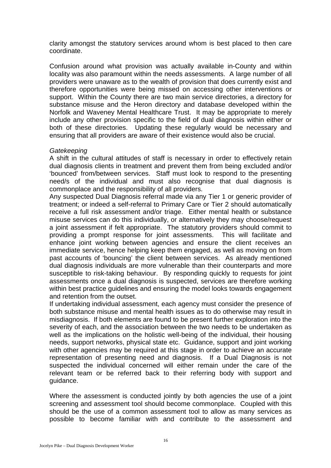clarity amongst the statutory services around whom is best placed to then care coordinate.

Confusion around what provision was actually available in-County and within locality was also paramount within the needs assessments. A large number of all providers were unaware as to the wealth of provision that does currently exist and therefore opportunities were being missed on accessing other interventions or support. Within the County there are two main service directories, a directory for substance misuse and the Heron directory and database developed within the Norfolk and Waveney Mental Healthcare Trust. It may be appropriate to merely include any other provision specific to the field of dual diagnosis within either or both of these directories. Updating these regularly would be necessary and ensuring that all providers are aware of their existence would also be crucial.

# *Gatekeeping*

A shift in the cultural attitudes of staff is necessary in order to effectively retain dual diagnosis clients in treatment and prevent them from being excluded and/or 'bounced' from/between services. Staff must look to respond to the presenting need/s of the individual and must also recognise that dual diagnosis is commonplace and the responsibility of all providers.

Any suspected Dual Diagnosis referral made via any Tier 1 or generic provider of treatment; or indeed a self-referral to Primary Care or Tier 2 should automatically receive a full risk assessment and/or triage. Either mental health or substance misuse services can do this individually, or alternatively they may choose/request a joint assessment if felt appropriate. The statutory providers should commit to providing a prompt response for joint assessments. This will facilitate and enhance joint working between agencies and ensure the client receives an immediate service, hence helping keep them engaged, as well as moving on from past accounts of 'bouncing' the client between services. As already mentioned dual diagnosis individuals are more vulnerable than their counterparts and more susceptible to risk-taking behaviour. By responding quickly to requests for joint assessments once a dual diagnosis is suspected, services are therefore working within best practice guidelines and ensuring the model looks towards engagement and retention from the outset.

If undertaking individual assessment, each agency must consider the presence of both substance misuse and mental health issues as to do otherwise may result in misdiagnosis. If both elements are found to be present further exploration into the severity of each, and the association between the two needs to be undertaken as well as the implications on the holistic well-being of the individual, their housing needs, support networks, physical state etc. Guidance, support and joint working with other agencies may be required at this stage in order to achieve an accurate representation of presenting need and diagnosis. If a Dual Diagnosis is not suspected the individual concerned will either remain under the care of the relevant team or be referred back to their referring body with support and guidance.

Where the assessment is conducted jointly by both agencies the use of a joint screening and assessment tool should become commonplace. Coupled with this should be the use of a common assessment tool to allow as many services as possible to become familiar with and contribute to the assessment and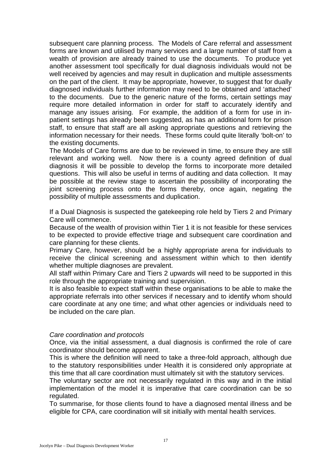subsequent care planning process. The Models of Care referral and assessment forms are known and utilised by many services and a large number of staff from a wealth of provision are already trained to use the documents. To produce yet another assessment tool specifically for dual diagnosis individuals would not be well received by agencies and may result in duplication and multiple assessments on the part of the client. It may be appropriate, however, to suggest that for dually diagnosed individuals further information may need to be obtained and 'attached' to the documents. Due to the generic nature of the forms, certain settings may require more detailed information in order for staff to accurately identify and manage any issues arising. For example, the addition of a form for use in inpatient settings has already been suggested, as has an additional form for prison staff, to ensure that staff are all asking appropriate questions and retrieving the information necessary for their needs. These forms could quite literally 'bolt-on' to the existing documents.

The Models of Care forms are due to be reviewed in time, to ensure they are still relevant and working well. Now there is a county agreed definition of dual diagnosis it will be possible to develop the forms to incorporate more detailed questions. This will also be useful in terms of auditing and data collection. It may be possible at the review stage to ascertain the possibility of incorporating the joint screening process onto the forms thereby, once again, negating the possibility of multiple assessments and duplication.

If a Dual Diagnosis is suspected the gatekeeping role held by Tiers 2 and Primary Care will commence.

Because of the wealth of provision within Tier 1 it is not feasible for these services to be expected to provide effective triage and subsequent care coordination and care planning for these clients.

Primary Care, however, should be a highly appropriate arena for individuals to receive the clinical screening and assessment within which to then identify whether multiple diagnoses are prevalent.

All staff within Primary Care and Tiers 2 upwards will need to be supported in this role through the appropriate training and supervision.

It is also feasible to expect staff within these organisations to be able to make the appropriate referrals into other services if necessary and to identify whom should care coordinate at any one time; and what other agencies or individuals need to be included on the care plan.

#### *Care coordination and protocols*

Once, via the initial assessment, a dual diagnosis is confirmed the role of care coordinator should become apparent.

This is where the definition will need to take a three-fold approach, although due to the statutory responsibilities under Health it is considered only appropriate at this time that all care coordination must ultimately sit with the statutory services.

The voluntary sector are not necessarily regulated in this way and in the initial implementation of the model it is imperative that care coordination can be so regulated.

To summarise, for those clients found to have a diagnosed mental illness and be eligible for CPA, care coordination will sit initially with mental health services.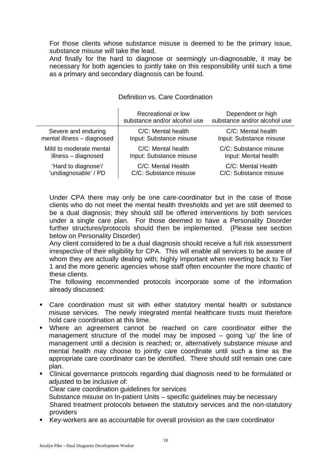For those clients whose substance misuse is deemed to be the primary issue, substance misuse will take the lead.

And finally for the hard to diagnose or seemingly un-diagnosable, it may be necessary for both agencies to jointly take on this responsibility until such a time as a primary and secondary diagnosis can be found.

|                            | Recreational or low<br>substance and/or alcohol use | Dependent or high<br>substance and/or alcohol use |
|----------------------------|-----------------------------------------------------|---------------------------------------------------|
| Severe and enduring        | C/C: Mental health                                  | C/C: Mental health                                |
| mental illness - diagnosed | Input: Substance misuse                             | Input: Substance misuse                           |
| Mild to moderate mental    | C/C: Mental health                                  | C/C: Substance misuse                             |
| illness - diagnosed        | Input: Substance misuse                             | Input: Mental health                              |
| 'Hard to diagnose'/        | C/C: Mental Health                                  | C/C: Mental Health                                |
| 'undiagnosable' / PD       | C/C: Substance misuse                               | C/C: Substance misuse                             |

# Definition vs. Care Coordination

Under CPA there may only be one care-coordinator but in the case of those clients who do not meet the mental health thresholds and yet are still deemed to be a dual diagnosis; they should still be offered interventions by both services under a single care plan. For those deemed to have a Personality Disorder further structures/protocols should then be implemented. (Please see section below on Personality Disorder)

Any client considered to be a dual diagnosis should receive a full risk assessment irrespective of their eligibility for CPA. This will enable all services to be aware of whom they are actually dealing with; highly important when reverting back to Tier 1 and the more generic agencies whose staff often encounter the more chaotic of these clients.

The following recommended protocols incorporate some of the information already discussed:

- Care coordination must sit with either statutory mental health or substance misuse services. The newly integrated mental healthcare trusts must therefore hold care coordination at this time.
- Where an agreement cannot be reached on care coordinator either the management structure of the model may be imposed – going 'up' the line of management until a decision is reached; or, alternatively substance misuse and mental health may choose to jointly care coordinate until such a time as the appropriate care coordinator can be identified. There should still remain one care plan.
- Clinical governance protocols regarding dual diagnosis need to be formulated or adjusted to be inclusive of:

Clear care coordination guidelines for services

Substance misuse on In-patient Units – specific guidelines may be necessary Shared treatment protocols between the statutory services and the non-statutory providers

Key-workers are as accountable for overall provision as the care coordinator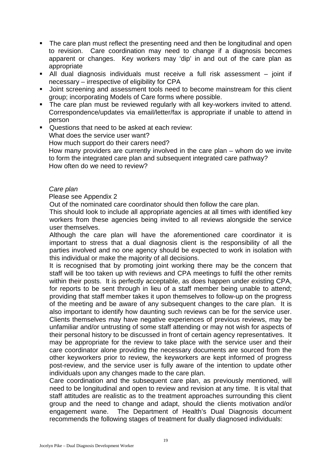- The care plan must reflect the presenting need and then be longitudinal and open to revision. Care coordination may need to change if a diagnosis becomes apparent or changes. Key workers may 'dip' in and out of the care plan as appropriate
- All dual diagnosis individuals must receive a full risk assessment joint if necessary – irrespective of eligibility for CPA
- **Joint screening and assessment tools need to become mainstream for this client** group; incorporating Models of Care forms where possible.
- The care plan must be reviewed regularly with all key-workers invited to attend. Correspondence/updates via email/letter/fax is appropriate if unable to attend in person
- Questions that need to be asked at each review: What does the service user want? How much support do their carers need? How many providers are currently involved in the care plan – whom do we invite to form the integrated care plan and subsequent integrated care pathway? How often do we need to review?

### *Care plan*

### Please see Appendix 2

Out of the nominated care coordinator should then follow the care plan.

This should look to include all appropriate agencies at all times with identified key workers from these agencies being invited to all reviews alongside the service user themselves.

Although the care plan will have the aforementioned care coordinator it is important to stress that a dual diagnosis client is the responsibility of all the parties involved and no one agency should be expected to work in isolation with this individual or make the majority of all decisions.

It is recognised that by promoting joint working there may be the concern that staff will be too taken up with reviews and CPA meetings to fulfil the other remits within their posts. It is perfectly acceptable, as does happen under existing CPA, for reports to be sent through in lieu of a staff member being unable to attend; providing that staff member takes it upon themselves to follow-up on the progress of the meeting and be aware of any subsequent changes to the care plan. It is also important to identify how daunting such reviews can be for the service user. Clients themselves may have negative experiences of previous reviews, may be unfamiliar and/or untrusting of some staff attending or may not wish for aspects of their personal history to be discussed in front of certain agency representatives. It may be appropriate for the review to take place with the service user and their care coordinator alone providing the necessary documents are sourced from the other keyworkers prior to review, the keyworkers are kept informed of progress post-review, and the service user is fully aware of the intention to update other individuals upon any changes made to the care plan.

Care coordination and the subsequent care plan, as previously mentioned, will need to be longitudinal and open to review and revision at any time. It is vital that staff attitudes are realistic as to the treatment approaches surrounding this client group and the need to change and adapt, should the clients motivation and/or engagement wane. The Department of Health's Dual Diagnosis document recommends the following stages of treatment for dually diagnosed individuals: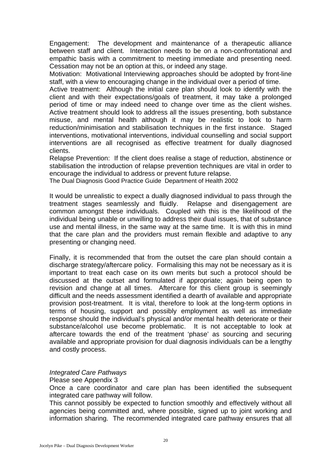Engagement: The development and maintenance of a therapeutic alliance between staff and client. Interaction needs to be on a non-confrontational and empathic basis with a commitment to meeting immediate and presenting need. Cessation may not be an option at this, or indeed any stage.

Motivation: Motivational Interviewing approaches should be adopted by front-line staff, with a view to encouraging change in the individual over a period of time.

Active treatment: Although the initial care plan should look to identify with the client and with their expectations/goals of treatment, it may take a prolonged period of time or may indeed need to change over time as the client wishes. Active treatment should look to address all the issues presenting, both substance misuse, and mental health although it may be realistic to look to harm reduction/minimisation and stabilisation techniques in the first instance. Staged interventions, motivational interventions, individual counselling and social support interventions are all recognised as effective treatment for dually diagnosed clients.

Relapse Prevention: If the client does realise a stage of reduction, abstinence or stabilisation the introduction of relapse prevention techniques are vital in order to encourage the individual to address or prevent future relapse.

The Dual Diagnosis Good Practice Guide Department of Health 2002

It would be unrealistic to expect a dually diagnosed individual to pass through the treatment stages seamlessly and fluidly. Relapse and disengagement are common amongst these individuals. Coupled with this is the likelihood of the individual being unable or unwilling to address their dual issues, that of substance use and mental illness, in the same way at the same time. It is with this in mind that the care plan and the providers must remain flexible and adaptive to any presenting or changing need.

Finally, it is recommended that from the outset the care plan should contain a discharge strategy/aftercare policy. Formalising this may not be necessary as it is important to treat each case on its own merits but such a protocol should be discussed at the outset and formulated if appropriate; again being open to revision and change at all times. Aftercare for this client group is seemingly difficult and the needs assessment identified a dearth of available and appropriate provision post-treatment. It is vital, therefore to look at the long-term options in terms of housing, support and possibly employment as well as immediate response should the individual's physical and/or mental health deteriorate or their substance/alcohol use become problematic. It is not acceptable to look at aftercare towards the end of the treatment 'phase' as sourcing and securing available and appropriate provision for dual diagnosis individuals can be a lengthy and costly process.

#### *Integrated Care Pathways*

#### Please see Appendix 3

Once a care coordinator and care plan has been identified the subsequent integrated care pathway will follow.

This cannot possibly be expected to function smoothly and effectively without all agencies being committed and, where possible, signed up to joint working and information sharing. The recommended integrated care pathway ensures that all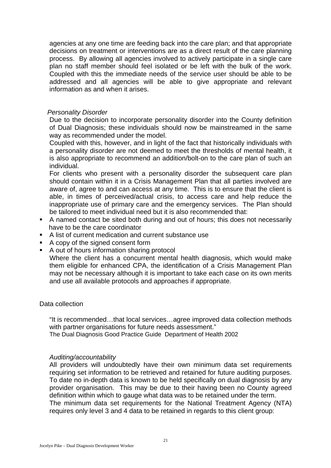agencies at any one time are feeding back into the care plan; and that appropriate decisions on treatment or interventions are as a direct result of the care planning process. By allowing all agencies involved to actively participate in a single care plan no staff member should feel isolated or be left with the bulk of the work. Coupled with this the immediate needs of the service user should be able to be addressed and all agencies will be able to give appropriate and relevant information as and when it arises.

#### *Personality Disorder*

Due to the decision to incorporate personality disorder into the County definition of Dual Diagnosis; these individuals should now be mainstreamed in the same way as recommended under the model.

Coupled with this, however, and in light of the fact that historically individuals with a personality disorder are not deemed to meet the thresholds of mental health, it is also appropriate to recommend an addition/bolt-on to the care plan of such an individual.

For clients who present with a personality disorder the subsequent care plan should contain within it in a Crisis Management Plan that all parties involved are aware of, agree to and can access at any time. This is to ensure that the client is able, in times of perceived/actual crisis, to access care and help reduce the inappropriate use of primary care and the emergency services. The Plan should be tailored to meet individual need but it is also recommended that:

- A named contact be sited both during and out of hours; this does not necessarily have to be the care coordinator
- A list of current medication and current substance use
- A copy of the signed consent form
- A out of hours information sharing protocol

Where the client has a concurrent mental health diagnosis, which would make them eligible for enhanced CPA, the identification of a Crisis Management Plan may not be necessary although it is important to take each case on its own merits and use all available protocols and approaches if appropriate.

# Data collection

"It is recommended…that local services…agree improved data collection methods with partner organisations for future needs assessment."

The Dual Diagnosis Good Practice Guide Department of Health 2002

# *Auditing/accountability*

All providers will undoubtedly have their own minimum data set requirements requiring set information to be retrieved and retained for future auditing purposes. To date no in-depth data is known to be held specifically on dual diagnosis by any provider organisation. This may be due to their having been no County agreed definition within which to gauge what data was to be retained under the term. The minimum data set requirements for the National Treatment Agency (NTA) requires only level 3 and 4 data to be retained in regards to this client group: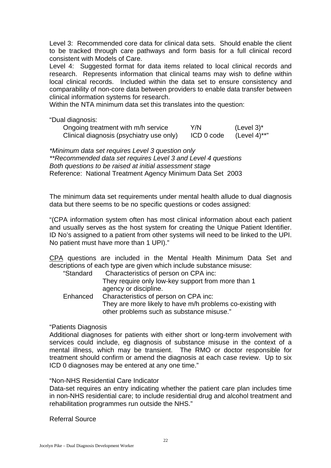Level 3: Recommended core data for clinical data sets. Should enable the client to be tracked through care pathways and form basis for a full clinical record consistent with Models of Care.

Level 4: Suggested format for data items related to local clinical records and research. Represents information that clinical teams may wish to define within local clinical records. Included within the data set to ensure consistency and comparability of non-core data between providers to enable data transfer between clinical information systems for research.

Within the NTA minimum data set this translates into the question:

"Dual diagnosis:

| Ongoing treatment with m/h service       | Y/N        | (Level 3) $^{\star}$ |
|------------------------------------------|------------|----------------------|
| Clinical diagnosis (psychiatry use only) | ICD 0 code | (Level 4)**"         |

*\*Minimum data set requires Level 3 question only \*\*Recommended data set requires Level 3 and Level 4 questions Both questions to be raised at initial assessment stage*  Reference: National Treatment Agency Minimum Data Set 2003

The minimum data set requirements under mental health allude to dual diagnosis data but there seems to be no specific questions or codes assigned:

"(CPA information system often has most clinical information about each patient and usually serves as the host system for creating the Unique Patient Identifier. ID No's assigned to a patient from other systems will need to be linked to the UPI. No patient must have more than 1 UPI)."

CPA questions are included in the Mental Health Minimum Data Set and descriptions of each type are given which include substance misuse:

| "Standard | Characteristics of person on CPA inc:                      |
|-----------|------------------------------------------------------------|
|           | They require only low-key support from more than 1         |
|           | agency or discipline.                                      |
| Enhanced  | Characteristics of person on CPA inc:                      |
|           | They are more likely to have m/h problems co-existing with |
|           | other problems such as substance misuse."                  |

# "Patients Diagnosis

Additional diagnoses for patients with either short or long-term involvement with services could include, eg diagnosis of substance misuse in the context of a mental illness, which may be transient. The RMO or doctor responsible for treatment should confirm or amend the diagnosis at each case review. Up to six ICD 0 diagnoses may be entered at any one time."

# "Non-NHS Residential Care Indicator

Data-set requires an entry indicating whether the patient care plan includes time in non-NHS residential care; to include residential drug and alcohol treatment and rehabilitation programmes run outside the NHS."

Referral Source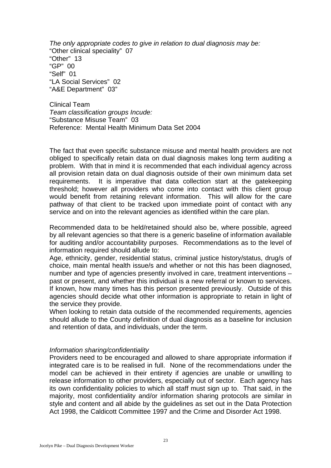*The only appropriate codes to give in relation to dual diagnosis may be:*  "Other clinical speciality" 07 "Other" 13 "GP" 00 "Self" 01 "LA Social Services" 02 "A&E Department" 03"

Clinical Team *Team classification groups Incude:* "Substance Misuse Team" 03 Reference: Mental Health Minimum Data Set 2004

The fact that even specific substance misuse and mental health providers are not obliged to specifically retain data on dual diagnosis makes long term auditing a problem. With that in mind it is recommended that each individual agency across all provision retain data on dual diagnosis outside of their own minimum data set requirements. It is imperative that data collection start at the gatekeeping threshold; however all providers who come into contact with this client group would benefit from retaining relevant information. This will allow for the care pathway of that client to be tracked upon immediate point of contact with any service and on into the relevant agencies as identified within the care plan.

Recommended data to be held/retained should also be, where possible, agreed by all relevant agencies so that there is a generic baseline of information available for auditing and/or accountability purposes. Recommendations as to the level of information required should allude to:

Age, ethnicity, gender, residential status, criminal justice history/status, drug/s of choice, main mental health issue/s and whether or not this has been diagnosed, number and type of agencies presently involved in care, treatment interventions – past or present, and whether this individual is a new referral or known to services. If known, how many times has this person presented previously. Outside of this agencies should decide what other information is appropriate to retain in light of the service they provide.

When looking to retain data outside of the recommended requirements, agencies should allude to the County definition of dual diagnosis as a baseline for inclusion and retention of data, and individuals, under the term.

#### *Information sharing/confidentiality*

Providers need to be encouraged and allowed to share appropriate information if integrated care is to be realised in full. None of the recommendations under the model can be achieved in their entirety if agencies are unable or unwilling to release information to other providers, especially out of sector. Each agency has its own confidentiality policies to which all staff must sign up to. That said, in the majority, most confidentiality and/or information sharing protocols are similar in style and content and all abide by the guidelines as set out in the Data Protection Act 1998, the Caldicott Committee 1997 and the Crime and Disorder Act 1998.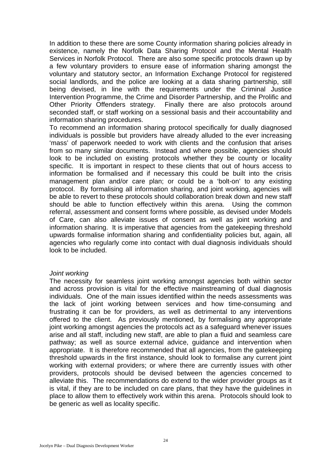In addition to these there are some County information sharing policies already in existence, namely the Norfolk Data Sharing Protocol and the Mental Health Services in Norfolk Protocol. There are also some specific protocols drawn up by a few voluntary providers to ensure ease of information sharing amongst the voluntary and statutory sector, an Information Exchange Protocol for registered social landlords, and the police are looking at a data sharing partnership, still being devised, in line with the requirements under the Criminal Justice Intervention Programme, the Crime and Disorder Partnership, and the Prolific and Other Priority Offenders strategy. Finally there are also protocols around seconded staff, or staff working on a sessional basis and their accountability and information sharing procedures.

To recommend an information sharing protocol specifically for dually diagnosed individuals is possible but providers have already alluded to the ever increasing 'mass' of paperwork needed to work with clients and the confusion that arises from so many similar documents. Instead and where possible, agencies should look to be included on existing protocols whether they be county or locality specific. It is important in respect to these clients that out of hours access to information be formalised and if necessary this could be built into the crisis management plan and/or care plan; or could be a 'bolt-on' to any existing protocol. By formalising all information sharing, and joint working, agencies will be able to revert to these protocols should collaboration break down and new staff should be able to function effectively within this arena. Using the common referral, assessment and consent forms where possible, as devised under Models of Care, can also alleviate issues of consent as well as joint working and information sharing. It is imperative that agencies from the gatekeeping threshold upwards formalise information sharing and confidentiality policies but, again, all agencies who regularly come into contact with dual diagnosis individuals should look to be included.

#### *Joint working*

The necessity for seamless joint working amongst agencies both within sector and across provision is vital for the effective mainstreaming of dual diagnosis individuals. One of the main issues identified within the needs assessments was the lack of joint working between services and how time-consuming and frustrating it can be for providers, as well as detrimental to any interventions offered to the client. As previously mentioned, by formalising any appropriate joint working amongst agencies the protocols act as a safeguard whenever issues arise and all staff, including new staff, are able to plan a fluid and seamless care pathway; as well as source external advice, guidance and intervention when appropriate. It is therefore recommended that all agencies, from the gatekeeping threshold upwards in the first instance, should look to formalise any current joint working with external providers; or where there are currently issues with other providers, protocols should be devised between the agencies concerned to alleviate this. The recommendations do extend to the wider provider groups as it is vital, if they are to be included on care plans, that they have the guidelines in place to allow them to effectively work within this arena. Protocols should look to be generic as well as locality specific.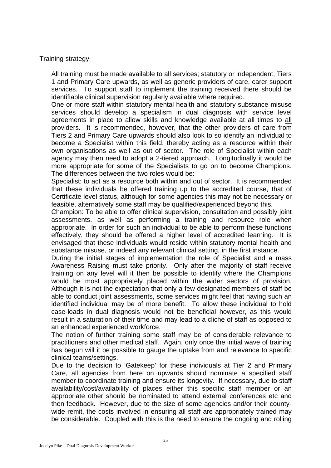Training strategy

All training must be made available to all services; statutory or independent, Tiers 1 and Primary Care upwards, as well as generic providers of care, carer support services. To support staff to implement the training received there should be identifiable clinical supervision regularly available where required.

One or more staff within statutory mental health and statutory substance misuse services should develop a specialism in dual diagnosis with service level agreements in place to allow skills and knowledge available at all times to all providers. It is recommended, however, that the other providers of care from Tiers 2 and Primary Care upwards should also look to so identify an individual to become a Specialist within this field, thereby acting as a resource within their own organisations as well as out of sector. The role of Specialist within each agency may then need to adopt a 2-tiered approach. Longitudinally it would be more appropriate for some of the Specialists to go on to become Champions. The differences between the two roles would be:

Specialist: to act as a resource both within and out of sector. It is recommended that these individuals be offered training up to the accredited course, that of Certificate level status, although for some agencies this may not be necessary or feasible, alternatively some staff may be qualified/experienced beyond this.

Champion: To be able to offer clinical supervision, consultation and possibly joint assessments, as well as performing a training and resource role when appropriate. In order for such an individual to be able to perform these functions effectively, they should be offered a higher level of accredited learning. It is envisaged that these individuals would reside within statutory mental health and substance misuse, or indeed any relevant clinical setting, in the first instance.

During the initial stages of implementation the role of Specialist and a mass Awareness Raising must take priority. Only after the majority of staff receive training on any level will it then be possible to identify where the Champions would be most appropriately placed within the wider sectors of provision. Although it is not the expectation that only a few designated members of staff be able to conduct joint assessments, some services might feel that having such an identified individual may be of more benefit. To allow these individual to hold case-loads in dual diagnosis would not be beneficial however, as this would result in a saturation of their time and may lead to a cliché of staff as opposed to an enhanced experienced workforce.

The notion of further training some staff may be of considerable relevance to practitioners and other medical staff. Again, only once the initial wave of training has begun will it be possible to gauge the uptake from and relevance to specific clinical teams/settings.

Due to the decision to 'Gatekeep' for these individuals at Tier 2 and Primary Care, all agencies from here on upwards should nominate a specified staff member to coordinate training and ensure its longevity. If necessary, due to staff availability/cost/availability of places either this specific staff member or an appropriate other should be nominated to attend external conferences etc and then feedback. However, due to the size of some agencies and/or their countywide remit, the costs involved in ensuring all staff are appropriately trained may be considerable. Coupled with this is the need to ensure the ongoing and rolling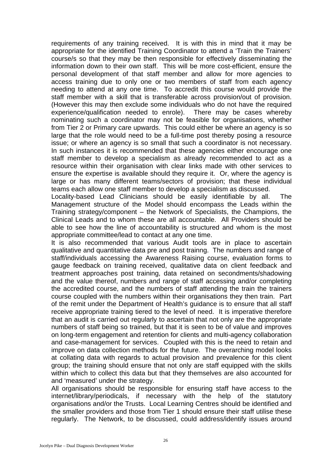requirements of any training received. It is with this in mind that it may be appropriate for the identified Training Coordinator to attend a 'Train the Trainers' course/s so that they may be then responsible for effectively disseminating the information down to their own staff. This will be more cost-efficient, ensure the personal development of that staff member and allow for more agencies to access training due to only one or two members of staff from each agency needing to attend at any one time. To accredit this course would provide the staff member with a skill that is transferable across provision/out of provision. (However this may then exclude some individuals who do not have the required experience/qualification needed to enrole). There may be cases whereby nominating such a coordinator may not be feasible for organisations, whether from Tier 2 or Primary care upwards. This could either be where an agency is so large that the role would need to be a full-time post thereby posing a resource issue; or where an agency is so small that such a coordinator is not necessary. In such instances it is recommended that these agencies either encourage one staff member to develop a specialism as already recommended to act as a resource within their organisation with clear links made with other services to ensure the expertise is available should they require it. Or, where the agency is large or has many different teams/sectors of provision; that these individual teams each allow one staff member to develop a specialism as discussed.

Locality-based Lead Clinicians should be easily identifiable by all. The Management structure of the Model should encompass the Leads within the Training strategy/component – the Network of Specialists, the Champions, the Clinical Leads and to whom these are all accountable. All Providers should be able to see how the line of accountability is structured and whom is the most appropriate committee/lead to contact at any one time.

It is also recommended that various Audit tools are in place to ascertain qualitative and quantitative data pre and post trainng. The numbers and range of staff/individuals accessing the Awareness Raising course, evaluation forms to gauge feedback on training received, qualitative data on client feedback and treatment approaches post training, data retained on secondments/shadowing and the value thereof, numbers and range of staff accessing and/or completing the accredited course, and the numbers of staff attending the train the trainers course coupled with the numbers within their organisations they then train. Part of the remit under the Department of Health's guidance is to ensure that all staff receive appropriate training tiered to the level of need. It is imperative therefore that an audit is carried out regularly to ascertain that not only are the appropriate numbers of staff being so trained, but that it is seen to be of value and improves on long-term engagement and retention for clients and multi-agency collaboration and case-management for services. Coupled with this is the need to retain and improve on data collection methods for the future. The overarching model looks at collating data with regards to actual provision and prevalence for this client group; the training should ensure that not only are staff equipped with the skills within which to collect this data but that they themselves are also accounted for and 'measured' under the strategy.

All organisations should be responsible for ensuring staff have access to the internet/library/periodicals, if necessary with the help of the statutory organisations and/or the Trusts. Local Learning Centres should be identified and the smaller providers and those from Tier 1 should ensure their staff utilise these regularly. The Network, to be discussed, could address/identify issues around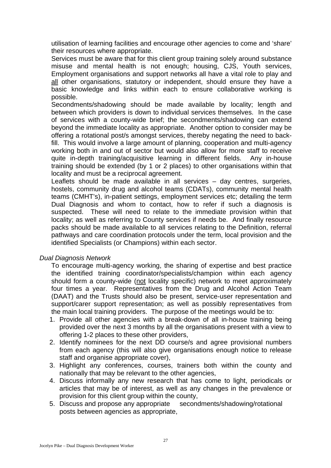utilisation of learning facilities and encourage other agencies to come and 'share' their resources where appropriate.

Services must be aware that for this client group training solely around substance misuse and mental health is not enough; housing, CJS, Youth services, Employment organisations and support networks all have a vital role to play and all other organisations, statutory or independent, should ensure they have a basic knowledge and links within each to ensure collaborative working is possible.

Secondments/shadowing should be made available by locality; length and between which providers is down to individual services themselves. In the case of services with a county-wide brief; the secondments/shadowing can extend beyond the immediate locality as appropriate. Another option to consider may be offering a rotational post/s amongst services, thereby negating the need to backfill. This would involve a large amount of planning, cooperation and multi-agency working both in and out of sector but would also allow for more staff to receive quite in-depth training/acquisitive learning in different fields. Any in-house training should be extended (by 1 or 2 places) to other organisations within that locality and must be a reciprocal agreement.

Leaflets should be made available in all services – day centres, surgeries, hostels, community drug and alcohol teams (CDATs), community mental health teams (CMHT's), in-patient settings, employment services etc; detailing the term Dual Diagnosis and whom to contact, how to refer if such a diagnosis is suspected. These will need to relate to the immediate provision within that locality; as well as referring to County services if needs be. And finally resource packs should be made available to all services relating to the Definition, referral pathways and care coordination protocols under the term, local provision and the identified Specialists (or Champions) within each sector.

# *Dual Diagnosis Network*

To encourage multi-agency working, the sharing of expertise and best practice the identified training coordinator/specialists/champion within each agency should form a county-wide (not locality specific) network to meet approximately four times a year. Representatives from the Drug and Alcohol Action Team (DAAT) and the Trusts should also be present, service-user representation and support/carer support representation; as well as possibly representatives from the main local training providers. The purpose of the meetings would be to:

- 1. Provide all other agencies with a break-down of all in-house training being provided over the next 3 months by all the organisations present with a view to offering 1-2 places to these other providers,
- 2. Identify nominees for the next DD course/s and agree provisional numbers from each agency (this will also give organisations enough notice to release staff and organise appropriate cover),
- 3. Highlight any conferences, courses, trainers both within the county and nationally that may be relevant to the other agencies,
- 4. Discuss informally any new research that has come to light, periodicals or articles that may be of interest, as well as any changes in the prevalence or provision for this client group within the county,
- 5. Discuss and propose any appropriate secondments/shadowing/rotational posts between agencies as appropriate,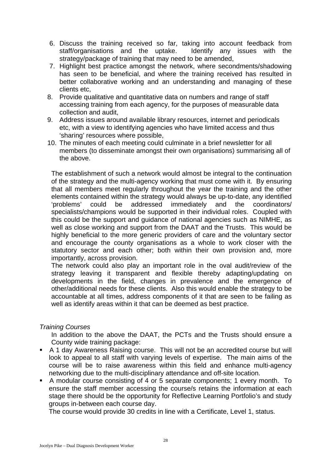- 6. Discuss the training received so far, taking into account feedback from staff/organisations and the uptake. Identify any issues with the strategy/package of training that may need to be amended,
- 7. Highlight best practice amongst the network, where secondments/shadowing has seen to be beneficial, and where the training received has resulted in better collaborative working and an understanding and managing of these clients etc,
- 8. Provide qualitative and quantitative data on numbers and range of staff accessing training from each agency, for the purposes of measurable data collection and audit,
- 9. Address issues around available library resources, internet and periodicals etc, with a view to identifying agencies who have limited access and thus 'sharing' resources where possible,
- 10. The minutes of each meeting could culminate in a brief newsletter for all members (to disseminate amongst their own organisations) summarising all of the above.

The establishment of such a network would almost be integral to the continuation of the strategy and the multi-agency working that must come with it. By ensuring that all members meet regularly throughout the year the training and the other elements contained within the strategy would always be up-to-date, any identified 'problems' could be addressed immediately and the coordinators/ specialists/champions would be supported in their individual roles. Coupled with this could be the support and guidance of national agencies such as NIMHE, as well as close working and support from the DAAT and the Trusts. This would be highly beneficial to the more generic providers of care and the voluntary sector and encourage the county organisations as a whole to work closer with the statutory sector and each other; both within their own provision and, more importantly, across provision.

The network could also play an important role in the oval audit/review of the strategy leaving it transparent and flexible thereby adapting/updating on developments in the field, changes in prevalence and the emergence of other/additional needs for these clients. Also this would enable the strategy to be accountable at all times, address components of it that are seen to be failing as well as identify areas within it that can be deemed as best practice.

# *Training Courses*

In addition to the above the DAAT, the PCTs and the Trusts should ensure a County wide training package:

- A 1 day Awareness Raising course. This will not be an accredited course but will look to appeal to all staff with varying levels of expertise. The main aims of the course will be to raise awareness within this field and enhance multi-agency networking due to the multi-disciplinary attendance and off-site location.
- A modular course consisting of 4 or 5 separate components; 1 every month. To ensure the staff member accessing the course/s retains the information at each stage there should be the opportunity for Reflective Learning Portfolio's and study groups in-between each course day.

The course would provide 30 credits in line with a Certificate, Level 1, status.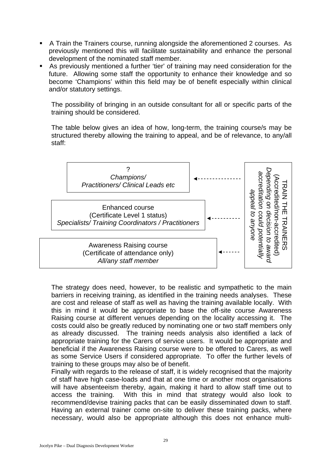- A Train the Trainers course, running alongside the aforementioned 2 courses. As previously mentioned this will facilitate sustainability and enhance the personal development of the nominated staff member.
- As previously mentioned a further 'tier' of training may need consideration for the future. Allowing some staff the opportunity to enhance their knowledge and so become 'Champions' within this field may be of benefit especially within clinical and/or statutory settings.

The possibility of bringing in an outside consultant for all or specific parts of the training should be considered.

The table below gives an idea of how, long-term, the training course/s may be structured thereby allowing the training to appeal, and be of relevance, to any/all staff:



The strategy does need, however, to be realistic and sympathetic to the main barriers in receiving training, as identified in the training needs analyses. These are cost and release of staff as well as having the training available locally. With this in mind it would be appropriate to base the off-site course Awareness Raising course at different venues depending on the locality accessing it. The costs could also be greatly reduced by nominating one or two staff members only as already discussed. The training needs analysis also identified a lack of appropriate training for the Carers of service users. It would be appropriate and beneficial if the Awareness Raising course were to be offered to Carers, as well as some Service Users if considered appropriate. To offer the further levels of training to these groups may also be of benefit.

Finally with regards to the release of staff, it is widely recognised that the majority of staff have high case-loads and that at one time or another most organisations will have absenteeism thereby, again, making it hard to allow staff time out to access the training. With this in mind that strategy would also look to recommend/devise training packs that can be easily disseminated down to staff. Having an external trainer come on-site to deliver these training packs, where necessary, would also be appropriate although this does not enhance multi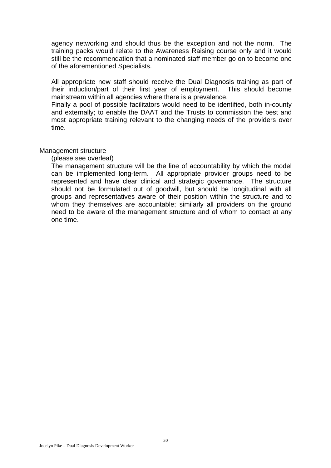agency networking and should thus be the exception and not the norm. The training packs would relate to the Awareness Raising course only and it would still be the recommendation that a nominated staff member go on to become one of the aforementioned Specialists.

All appropriate new staff should receive the Dual Diagnosis training as part of their induction/part of their first year of employment. This should become mainstream within all agencies where there is a prevalence.

Finally a pool of possible facilitators would need to be identified, both in-county and externally; to enable the DAAT and the Trusts to commission the best and most appropriate training relevant to the changing needs of the providers over time.

#### Management structure

(please see overleaf)

The management structure will be the line of accountability by which the model can be implemented long-term. All appropriate provider groups need to be represented and have clear clinical and strategic governance. The structure should not be formulated out of goodwill, but should be longitudinal with all groups and representatives aware of their position within the structure and to whom they themselves are accountable; similarly all providers on the ground need to be aware of the management structure and of whom to contact at any one time.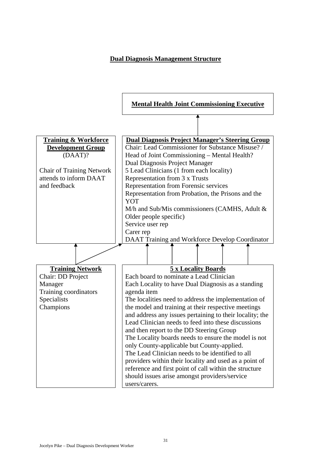# **Dual Diagnosis Management Structure**

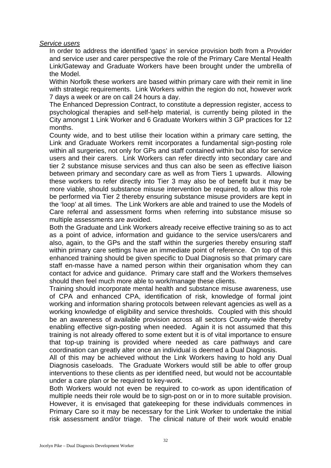## *Service users*

In order to address the identified 'gaps' in service provision both from a Provider and service user and carer perspective the role of the Primary Care Mental Health Link/Gateway and Graduate Workers have been brought under the umbrella of the Model.

Within Norfolk these workers are based within primary care with their remit in line with strategic requirements. Link Workers within the region do not, however work 7 days a week or are on call 24 hours a day.

The Enhanced Depression Contract, to constitute a depression register, access to psychological therapies and self-help material, is currently being piloted in the City amongst 1 Link Worker and 6 Graduate Workers within 3 GP practices for 12 months.

County wide, and to best utilise their location within a primary care setting, the Link and Graduate Workers remit incorporates a fundamental sign-posting role within all surgeries, not only for GPs and staff contained within but also for service users and their carers. Link Workers can refer directly into secondary care and tier 2 substance misuse services and thus can also be seen as effective liaison between primary and secondary care as well as from Tiers 1 upwards. Allowing these workers to refer directly into Tier 3 may also be of benefit but it may be more viable, should substance misuse intervention be required, to allow this role be performed via Tier 2 thereby ensuring substance misuse providers are kept in the 'loop' at all times. The Link Workers are able and trained to use the Models of Care referral and assessment forms when referring into substance misuse so multiple assessments are avoided.

Both the Graduate and Link Workers already receive effective training so as to act as a point of advice, information and guidance to the service users/carers and also, again, to the GPs and the staff within the surgeries thereby ensuring staff within primary care settings have an immediate point of reference. On top of this enhanced training should be given specific to Dual Diagnosis so that primary care staff en-masse have a named person within their organisation whom they can contact for advice and guidance. Primary care staff and the Workers themselves should then feel much more able to work/manage these clients.

Training should incorporate mental health and substance misuse awareness, use of CPA and enhanced CPA, identification of risk, knowledge of formal joint working and information sharing protocols between relevant agencies as well as a working knowledge of eligibility and service thresholds. Coupled with this should be an awareness of available provision across all sectors County-wide thereby enabling effective sign-posting when needed. Again it is not assumed that this training is not already offered to some extent but it is of vital importance to ensure that top-up training is provided where needed as care pathways and care coordination can greatly alter once an individual is deemed a Dual Diagnosis.

All of this may be achieved without the Link Workers having to hold any Dual Diagnosis caseloads. The Graduate Workers would still be able to offer group interventions to these clients as per identified need, but would not be accountable under a care plan or be required to key-work.

Both Workers would not even be required to co-work as upon identification of multiple needs their role would be to sign-post on or in to more suitable provision. However, it is envisaged that gatekeeping for these individuals commences in Primary Care so it may be necessary for the Link Worker to undertake the initial risk assessment and/or triage. The clinical nature of their work would enable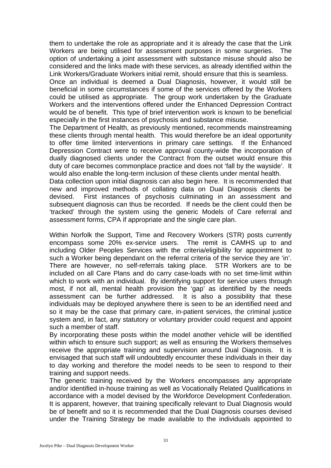them to undertake the role as appropriate and it is already the case that the Link Workers are being utilised for assessment purposes in some surgeries. The option of undertaking a joint assessment with substance misuse should also be considered and the links made with these services, as already identified within the Link Workers/Graduate Workers initial remit, should ensure that this is seamless.

Once an individual is deemed a Dual Diagnosis, however, it would still be beneficial in some circumstances if some of the services offered by the Workers could be utilised as appropriate. The group work undertaken by the Graduate Workers and the interventions offered under the Enhanced Depression Contract would be of benefit. This type of brief intervention work is known to be beneficial especially in the first instances of psychosis and substance misuse.

The Department of Health, as previously mentioned, recommends mainstreaming these clients through mental health. This would therefore be an ideal opportunity to offer time limited interventions in primary care settings. If the Enhanced Depression Contract were to receive approval county-wide the incorporation of dually diagnosed clients under the Contract from the outset would ensure this duty of care becomes commonplace practice and does not 'fall by the wayside'. It would also enable the long-term inclusion of these clients under mental health.

Data collection upon initial diagnosis can also begin here. It is recommended that new and improved methods of collating data on Dual Diagnosis clients be devised. First instances of psychosis culminating in an assessment and subsequent diagnosis can thus be recorded. If needs be the client could then be 'tracked' through the system using the generic Models of Care referral and assessment forms, CPA if appropriate and the single care plan.

Within Norfolk the Support, Time and Recovery Workers (STR) posts currently encompass some 20% ex-service users. The remit is CAMHS up to and including Older Peoples Services with the criteria/eligibility for appointment to such a Worker being dependant on the referral criteria of the service they are 'in'. There are however, no self-referrals taking place. STR Workers are to be included on all Care Plans and do carry case-loads with no set time-limit within which to work with an individual. By identifying support for service users through most, if not all, mental health provision the 'gap' as identified by the needs assessment can be further addressed. It is also a possibility that these individuals may be deployed anywhere there is seen to be an identified need and so it may be the case that primary care, in-patient services, the criminal justice system and, in fact, any statutory or voluntary provider could request and appoint such a member of staff.

By incorporating these posts within the model another vehicle will be identified within which to ensure such support; as well as ensuring the Workers themselves receive the appropriate training and supervision around Dual Diagnosis. It is envisaged that such staff will undoubtedly encounter these individuals in their day to day working and therefore the model needs to be seen to respond to their training and support needs.

The generic training received by the Workers encompasses any appropriate and/or identified in-house training as well as Vocationally Related Qualifications in accordance with a model devised by the Workforce Development Confederation. It is apparent, however, that training specifically relevant to Dual Diagnosis would be of benefit and so it is recommended that the Dual Diagnosis courses devised under the Training Strategy be made available to the individuals appointed to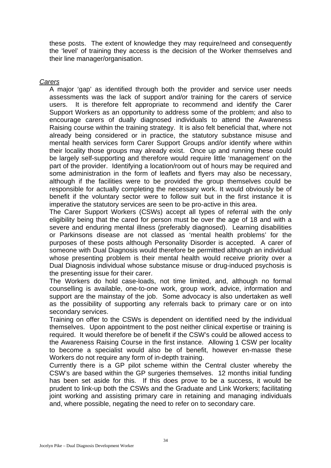these posts. The extent of knowledge they may require/need and consequently the 'level' of training they access is the decision of the Worker themselves and their line manager/organisation.

### *Carers*

A major 'gap' as identified through both the provider and service user needs assessments was the lack of support and/or training for the carers of service users. It is therefore felt appropriate to recommend and identify the Carer Support Workers as an opportunity to address some of the problem; and also to encourage carers of dually diagnosed individuals to attend the Awareness Raising course within the training strategy. It is also felt beneficial that, where not already being considered or in practice, the statutory substance misuse and mental health services form Carer Support Groups and/or identify where within their locality those groups may already exist. Once up and running these could be largely self-supporting and therefore would require little 'management' on the part of the provider. Identifying a location/room out of hours may be required and some administration in the form of leaflets and flyers may also be necessary, although if the facilities were to be provided the group themselves could be responsible for actually completing the necessary work. It would obviously be of benefit if the voluntary sector were to follow suit but in the first instance it is imperative the statutory services are seen to be pro-active in this area.

The Carer Support Workers (CSWs) accept all types of referral with the only eligibility being that the cared for person must be over the age of 18 and with a severe and enduring mental illness (preferably diagnosed). Learning disabilities or Parkinsons disease are not classed as 'mental health problems' for the purposes of these posts although Personality Disorder is accepted. A carer of someone with Dual Diagnosis would therefore be permitted although an individual whose presenting problem is their mental health would receive priority over a Dual Diagnosis individual whose substance misuse or drug-induced psychosis is the presenting issue for their carer.

The Workers do hold case-loads, not time limited, and, although no formal counselling is available, one-to-one work, group work, advice, information and support are the mainstay of the job. Some advocacy is also undertaken as well as the possibility of supporting any referrals back to primary care or on into secondary services.

Training on offer to the CSWs is dependent on identified need by the individual themselves. Upon appointment to the post neither clinical expertise or training is required. It would therefore be of benefit if the CSW's could be allowed access to the Awareness Raising Course in the first instance. Allowing 1 CSW per locality to become a specialist would also be of benefit, however en-masse these Workers do not require any form of in-depth training.

Currently there is a GP pilot scheme within the Central cluster whereby the CSW's are based within the GP surgeries themselves. 12 months initial funding has been set aside for this. If this does prove to be a success, it would be prudent to link-up both the CSWs and the Graduate and Link Workers; facilitating joint working and assisting primary care in retaining and managing individuals and, where possible, negating the need to refer on to secondary care.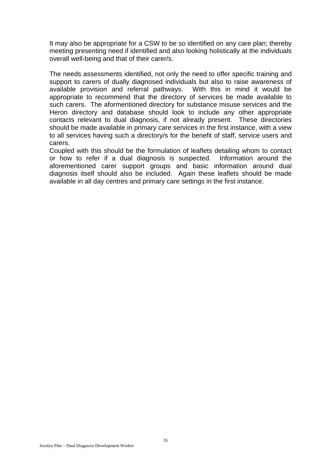It may also be appropriate for a CSW to be so identified on any care plan; thereby meeting presenting need if identified and also looking holistically at the individuals overall well-being and that of their carer/s.

The needs assessments identified, not only the need to offer specific training and support to carers of dually diagnosed individuals but also to raise awareness of available provision and referral pathways. With this in mind it would be appropriate to recommend that the directory of services be made available to such carers. The aformentioned directory for substance misuse services and the Heron directory and database should look to include any other appropriate contacts relevant to dual diagnosis, if not already present. These directories should be made available in primary care services in the first instance, with a view to all services having such a directory/s for the benefit of staff, service users and carers.

Coupled with this should be the formulation of leaflets detailing whom to contact or how to refer if a dual diagnosis is suspected. Information around the aforementioned carer support groups and basic information around dual diagnosis itself should also be included. Again these leaflets should be made available in all day centres and primary care settings in the first instance.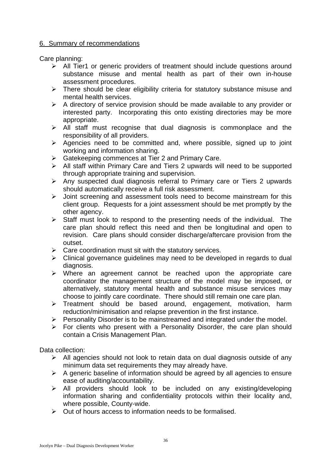# 6. Summary of recommendations

Care planning:

- ¾ All Tier1 or generic providers of treatment should include questions around substance misuse and mental health as part of their own in-house assessment procedures.
- $\triangleright$  There should be clear eligibility criteria for statutory substance misuse and mental health services.
- $\triangleright$  A directory of service provision should be made available to any provider or interested party. Incorporating this onto existing directories may be more appropriate.
- $\triangleright$  All staff must recognise that dual diagnosis is commonplace and the responsibility of all providers.
- $\triangleright$  Agencies need to be committed and, where possible, signed up to joint working and information sharing.
- ¾ Gatekeeping commences at Tier 2 and Primary Care.
- $\triangleright$  All staff within Primary Care and Tiers 2 upwards will need to be supported through appropriate training and supervision.
- $\triangleright$  Any suspected dual diagnosis referral to Primary care or Tiers 2 upwards should automatically receive a full risk assessment.
- $\triangleright$  Joint screening and assessment tools need to become mainstream for this client group. Requests for a joint assessment should be met promptly by the other agency.
- $\triangleright$  Staff must look to respond to the presenting needs of the individual. The care plan should reflect this need and then be longitudinal and open to revision. Care plans should consider discharge/aftercare provision from the outset.
- $\triangleright$  Care coordination must sit with the statutory services.
- $\triangleright$  Clinical governance guidelines may need to be developed in regards to dual diagnosis.
- $\triangleright$  Where an agreement cannot be reached upon the appropriate care coordinator the management structure of the model may be imposed, or alternatively, statutory mental health and substance misuse services may choose to jointly care coordinate. There should still remain one care plan.
- ¾ Treatment should be based around, engagement, motivation, harm reduction/minimisation and relapse prevention in the first instance.
- $\triangleright$  Personality Disorder is to be mainstreamed and integrated under the model.
- $\triangleright$  For clients who present with a Personality Disorder, the care plan should contain a Crisis Management Plan.

Data collection:

- $\triangleright$  All agencies should not look to retain data on dual diagnosis outside of any minimum data set requirements they may already have.
- $\triangleright$  A generic baseline of information should be agreed by all agencies to ensure ease of auditing/accountability.
- $\triangleright$  All providers should look to be included on any existing/developing information sharing and confidentiality protocols within their locality and, where possible, County-wide.
- $\triangleright$  Out of hours access to information needs to be formalised.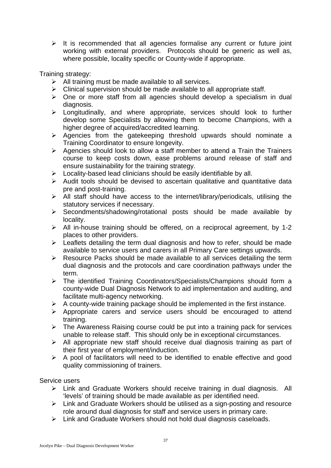$\triangleright$  It is recommended that all agencies formalise any current or future joint working with external providers. Protocols should be generic as well as, where possible, locality specific or County-wide if appropriate.

Training strategy:

- $\triangleright$  All training must be made available to all services.
- $\triangleright$  Clinical supervision should be made available to all appropriate staff.
- $\triangleright$  One or more staff from all agencies should develop a specialism in dual diagnosis.
- $\triangleright$  Longitudinally, and where appropriate, services should look to further develop some Specialists by allowing them to become Champions, with a higher degree of acquired/accredited learning.
- $\triangleright$  Agencies from the gatekeeping threshold upwards should nominate a Training Coordinator to ensure longevity.
- $\triangleright$  Agencies should look to allow a staff member to attend a Train the Trainers course to keep costs down, ease problems around release of staff and ensure sustainability for the training strategy.
- $\triangleright$  Locality-based lead clinicians should be easily identifiable by all.
- $\triangleright$  Audit tools should be devised to ascertain qualitative and quantitative data pre and post-training.
- $\triangleright$  All staff should have access to the internet/library/periodicals, utilising the statutory services if necessary.
- $\triangleright$  Secondments/shadowing/rotational posts should be made available by locality.
- ¾ All in-house training should be offered, on a reciprocal agreement, by 1-2 places to other providers.
- $\triangleright$  Leaflets detailing the term dual diagnosis and how to refer, should be made available to service users and carers in all Primary Care settings upwards.
- $\triangleright$  Resource Packs should be made available to all services detailing the term dual diagnosis and the protocols and care coordination pathways under the term.
- ¾ The identified Training Coordinators/Specialists/Champions should form a county-wide Dual Diagnosis Network to aid implementation and auditing, and facilitate multi-agency networking.
- $\triangleright$  A county-wide training package should be implemented in the first instance.
- $\triangleright$  Appropriate carers and service users should be encouraged to attend training.
- $\triangleright$  The Awareness Raising course could be put into a training pack for services unable to release staff. This should only be in exceptional circumstances.
- $\triangleright$  All appropriate new staff should receive dual diagnosis training as part of their first year of employment/induction.
- $\triangleright$  A pool of facilitators will need to be identified to enable effective and good quality commissioning of trainers.

# Service users

- ¾ Link and Graduate Workers should receive training in dual diagnosis. All 'levels' of training should be made available as per identified need.
- $\triangleright$  Link and Graduate Workers should be utilised as a sign-posting and resource role around dual diagnosis for staff and service users in primary care.
- $\triangleright$  Link and Graduate Workers should not hold dual diagnosis caseloads.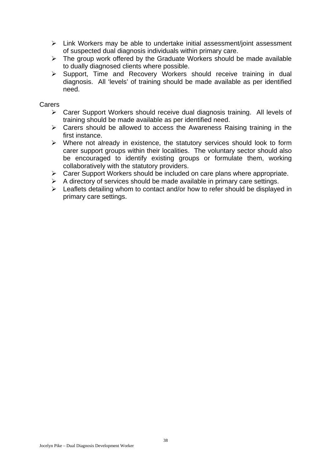- ¾ Link Workers may be able to undertake initial assessment/joint assessment of suspected dual diagnosis individuals within primary care.
- $\triangleright$  The group work offered by the Graduate Workers should be made available to dually diagnosed clients where possible.
- ¾ Support, Time and Recovery Workers should receive training in dual diagnosis. All 'levels' of training should be made available as per identified need.

Carers

- ¾ Carer Support Workers should receive dual diagnosis training. All levels of training should be made available as per identified need.
- $\triangleright$  Carers should be allowed to access the Awareness Raising training in the first instance.
- ¾ Where not already in existence, the statutory services should look to form carer support groups within their localities. The voluntary sector should also be encouraged to identify existing groups or formulate them, working collaboratively with the statutory providers.
- $\triangleright$  Carer Support Workers should be included on care plans where appropriate.
- $\triangleright$  A directory of services should be made available in primary care settings.
- $\triangleright$  Leaflets detailing whom to contact and/or how to refer should be displayed in primary care settings.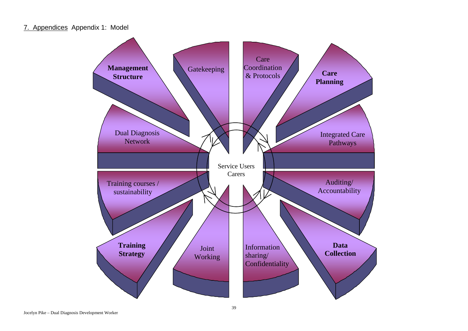7. Appendices Appendix 1: Model

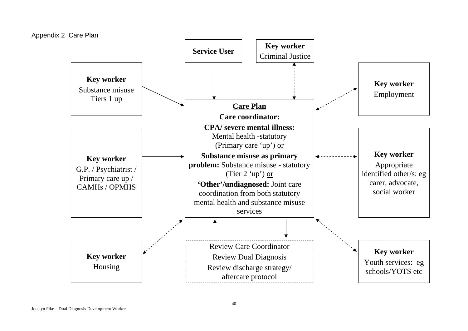Appendix 2 Care Plan

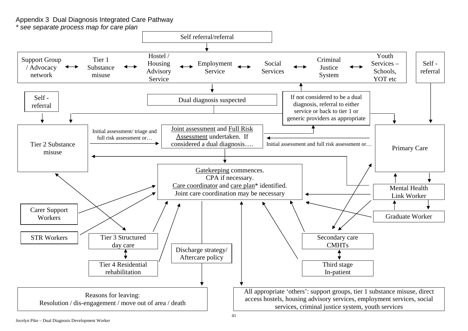Appendix 3 Dual Diagnosis Integrated Care Pathway

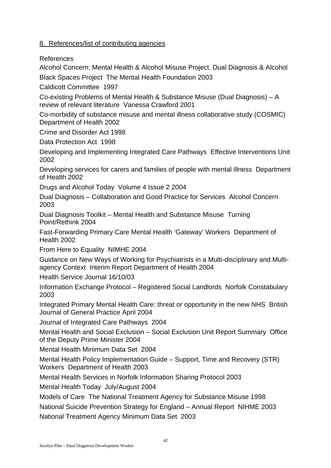# 8. References/list of contributing agencies

# References

Alcohol Concern: Mental Health & Alcohol Misuse Project, Dual Diagnosis & Alcohol

Black Spaces Project The Mental Health Foundation 2003

Caldicott Committee 1997

Co-existing Problems of Mental Health & Substance Misuse (Dual Diagnosis) – A review of relevant literature Vanessa Crawford 2001

Co-morbidity of substance misuse and mental illness collaborative study (COSMIC) Department of Health 2002

Crime and Disorder Act 1998

Data Protection Act 1998

Developing and Implementing Integrated Care Pathways Effective Interventions Unit 2002

Developing services for carers and families of people with mental illness Department of Health 2002

Drugs and Alcohol Today Volume 4 Issue 2 2004

Dual Diagnosis – Collaboration and Good Practice for Services Alcohol Concern 2003

Dual Diagnosis Toolkit – Mental Health and Substance Misuse Turning Point/Rethink 2004

Fast-Forwarding Primary Care Mental Health 'Gateway' Workers Department of Health 2002

From Here to Equality NIMHE 2004

Guidance on New Ways of Working for Psychiatrists in a Multi-disciplinary and Multiagency Context Interim Report Department of Health 2004

Health Service Journal 16/10/03

Information Exchange Protocol – Registered Social Landlords Norfolk Constabulary 2003

Integrated Primary Mental Health Care: threat or opportunity in the new NHS British Journal of General Practice April 2004

Journal of Integrated Care Pathways 2004

Mental Health and Social Exclusion – Social Exclusion Unit Report Summary Office of the Deputy Prime Minister 2004

Mental Health Minimum Data Set 2004

Mental Health Policy Implementation Guide – Support, Time and Recovery (STR) Workers Department of Health 2003

Mental Health Services in Norfolk Information Sharing Protocol 2003

Mental Health Today July/August 2004

Models of Care The National Treatment Agency for Substance Misuse 1998

National Suicide Prevention Strategy for England – Annual Report NIHME 2003

National Treatment Agency Minimum Data Set 2003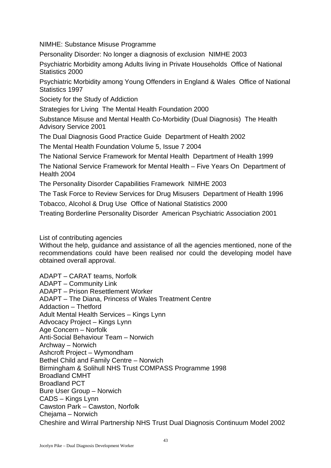NIMHE: Substance Misuse Programme

Personality Disorder: No longer a diagnosis of exclusion NIMHE 2003

Psychiatric Morbidity among Adults living in Private Households Office of National Statistics 2000

Psychiatric Morbidity among Young Offenders in England & Wales Office of National Statistics 1997

Society for the Study of Addiction

Strategies for Living The Mental Health Foundation 2000

Substance Misuse and Mental Health Co-Morbidity (Dual Diagnosis) The Health Advisory Service 2001

The Dual Diagnosis Good Practice Guide Department of Health 2002

The Mental Health Foundation Volume 5, Issue 7 2004

The National Service Framework for Mental Health Department of Health 1999

The National Service Framework for Mental Health – Five Years On Department of Health 2004

The Personality Disorder Capabilities Framework NIMHE 2003

The Task Force to Review Services for Drug Misusers Department of Health 1996 Tobacco, Alcohol & Drug Use Office of National Statistics 2000

Treating Borderline Personality Disorder American Psychiatric Association 2001

List of contributing agencies

Without the help, guidance and assistance of all the agencies mentioned, none of the recommendations could have been realised nor could the developing model have obtained overall approval.

ADAPT – CARAT teams, Norfolk ADAPT – Community Link ADAPT – Prison Resettlement Worker ADAPT – The Diana, Princess of Wales Treatment Centre Addaction – Thetford Adult Mental Health Services – Kings Lynn Advocacy Project – Kings Lynn Age Concern – Norfolk Anti-Social Behaviour Team – Norwich Archway – Norwich Ashcroft Project – Wymondham Bethel Child and Family Centre – Norwich Birmingham & Solihull NHS Trust COMPASS Programme 1998 Broadland CMHT Broadland PCT Bure User Group – Norwich CADS – Kings Lynn Cawston Park – Cawston, Norfolk Chejama – Norwich Cheshire and Wirral Partnership NHS Trust Dual Diagnosis Continuum Model 2002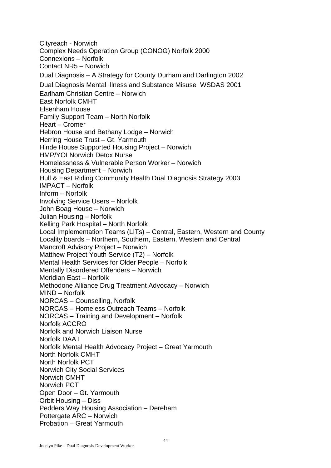Cityreach - Norwich Complex Needs Operation Group (CONOG) Norfolk 2000 Connexions – Norfolk Contact NR5 – Norwich Dual Diagnosis – A Strategy for County Durham and Darlington 2002 Dual Diagnosis Mental Illness and Substance Misuse WSDAS 2001 Earlham Christian Centre – Norwich East Norfolk CMHT Elsenham House Family Support Team – North Norfolk Heart – Cromer Hebron House and Bethany Lodge – Norwich Herring House Trust – Gt. Yarmouth Hinde House Supported Housing Project – Norwich HMP/YOI Norwich Detox Nurse Homelessness & Vulnerable Person Worker – Norwich Housing Department – Norwich Hull & East Riding Community Health Dual Diagnosis Strategy 2003 IMPACT – Norfolk Inform – Norfolk Involving Service Users – Norfolk John Boag House – Norwich Julian Housing – Norfolk Kelling Park Hospital – North Norfolk Local Implementation Teams (LITs) – Central, Eastern, Western and County Locality boards – Northern, Southern, Eastern, Western and Central Mancroft Advisory Project – Norwich Matthew Project Youth Service (T2) – Norfolk Mental Health Services for Older People – Norfolk Mentally Disordered Offenders – Norwich Meridian East – Norfolk Methodone Alliance Drug Treatment Advocacy – Norwich MIND – Norfolk NORCAS – Counselling, Norfolk NORCAS – Homeless Outreach Teams – Norfolk NORCAS – Training and Development – Norfolk Norfolk ACCRO Norfolk and Norwich Liaison Nurse Norfolk DAAT Norfolk Mental Health Advocacy Project – Great Yarmouth North Norfolk CMHT North Norfolk PCT Norwich City Social Services Norwich CMHT Norwich PCT Open Door – Gt. Yarmouth Orbit Housing – Diss Pedders Way Housing Association – Dereham Pottergate ARC – Norwich Probation – Great Yarmouth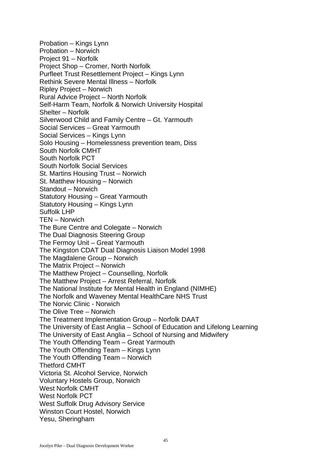Probation – Kings Lynn Probation – Norwich Project 91 – Norfolk Project Shop – Cromer, North Norfolk Purfleet Trust Resettlement Project – Kings Lynn Rethink Severe Mental Illness – Norfolk Ripley Project – Norwich Rural Advice Project – North Norfolk Self-Harm Team, Norfolk & Norwich University Hospital Shelter – Norfolk Silverwood Child and Family Centre – Gt. Yarmouth Social Services – Great Yarmouth Social Services – Kings Lynn Solo Housing – Homelessness prevention team, Diss South Norfolk CMHT South Norfolk PCT South Norfolk Social Services St. Martins Housing Trust – Norwich St. Matthew Housing – Norwich Standout – Norwich Statutory Housing – Great Yarmouth Statutory Housing – Kings Lynn Suffolk LHP TEN – Norwich The Bure Centre and Colegate – Norwich The Dual Diagnosis Steering Group The Fermoy Unit – Great Yarmouth The Kingston CDAT Dual Diagnosis Liaison Model 1998 The Magdalene Group – Norwich The Matrix Project – Norwich The Matthew Project – Counselling, Norfolk The Matthew Project – Arrest Referral, Norfolk The National Institute for Mental Health in England (NIMHE) The Norfolk and Waveney Mental HealthCare NHS Trust The Norvic Clinic - Norwich The Olive Tree – Norwich The Treatment Implementation Group – Norfolk DAAT The University of East Anglia – School of Education and Lifelong Learning The University of East Anglia – School of Nursing and Midwifery The Youth Offending Team – Great Yarmouth The Youth Offending Team – Kings Lynn The Youth Offending Team – Norwich Thetford CMHT Victoria St. Alcohol Service, Norwich Voluntary Hostels Group, Norwich West Norfolk CMHT West Norfolk PCT West Suffolk Drug Advisory Service Winston Court Hostel, Norwich Yesu, Sheringham